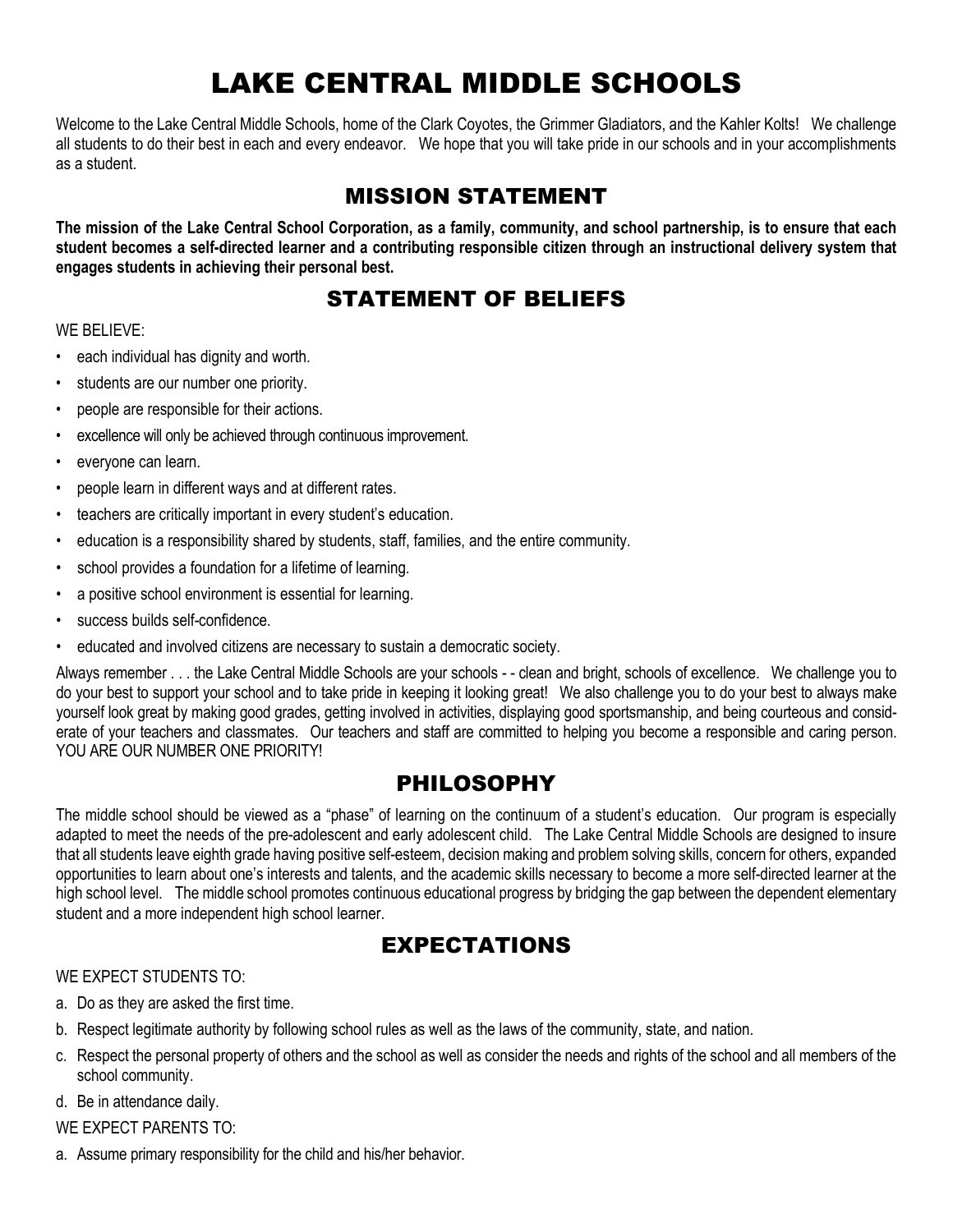# LAKE CENTRAL MIDDLE SCHOOLS

Welcome to the Lake Central Middle Schools, home of the Clark Coyotes, the Grimmer Gladiators, and the Kahler Kolts! We challenge all students to do their best in each and every endeavor. We hope that you will take pride in our schools and in your accomplishments as a student.

## MISSION STATEMENT

**The mission of the Lake Central School Corporation, as a family, community, and school partnership, is to ensure that each student becomes a self-directed learner and a contributing responsible citizen through an instructional delivery system that engages students in achieving their personal best.**

## STATEMENT OF BELIEFS

#### WE BELIEVE:

- each individual has dignity and worth.
- students are our number one priority.
- people are responsible for their actions.
- excellence will only be achieved through continuous improvement.
- everyone can learn.
- people learn in different ways and at different rates.
- teachers are critically important in every student's education.
- education is a responsibility shared by students, staff, families, and the entire community.
- school provides a foundation for a lifetime of learning.
- a positive school environment is essential for learning.
- success builds self-confidence.
- educated and involved citizens are necessary to sustain a democratic society.

Always remember . . . the Lake Central Middle Schools are your schools - - clean and bright, schools of excellence. We challenge you to do your best to support your school and to take pride in keeping it looking great! We also challenge you to do your best to always make yourself look great by making good grades, getting involved in activities, displaying good sportsmanship, and being courteous and considerate of your teachers and classmates. Our teachers and staff are committed to helping you become a responsible and caring person. YOU ARE OUR NUMBER ONE PRIORITY!

## PHILOSOPHY

The middle school should be viewed as a "phase" of learning on the continuum of a student's education. Our program is especially adapted to meet the needs of the pre-adolescent and early adolescent child. The Lake Central Middle Schools are designed to insure that all students leave eighth grade having positive self-esteem, decision making and problem solving skills, concern for others, expanded opportunities to learn about one's interests and talents, and the academic skills necessary to become a more self-directed learner at the high school level. The middle school promotes continuous educational progress by bridging the gap between the dependent elementary student and a more independent high school learner.

## EXPECTATIONS

#### WE EXPECT STUDENTS TO:

- a. Do as they are asked the first time.
- b. Respect legitimate authority by following school rules as well as the laws of the community, state, and nation.
- c. Respect the personal property of others and the school as well as consider the needs and rights of the school and all members of the school community.
- d. Be in attendance daily.

#### WE EXPECT PARENTS TO:

a. Assume primary responsibility for the child and his/her behavior.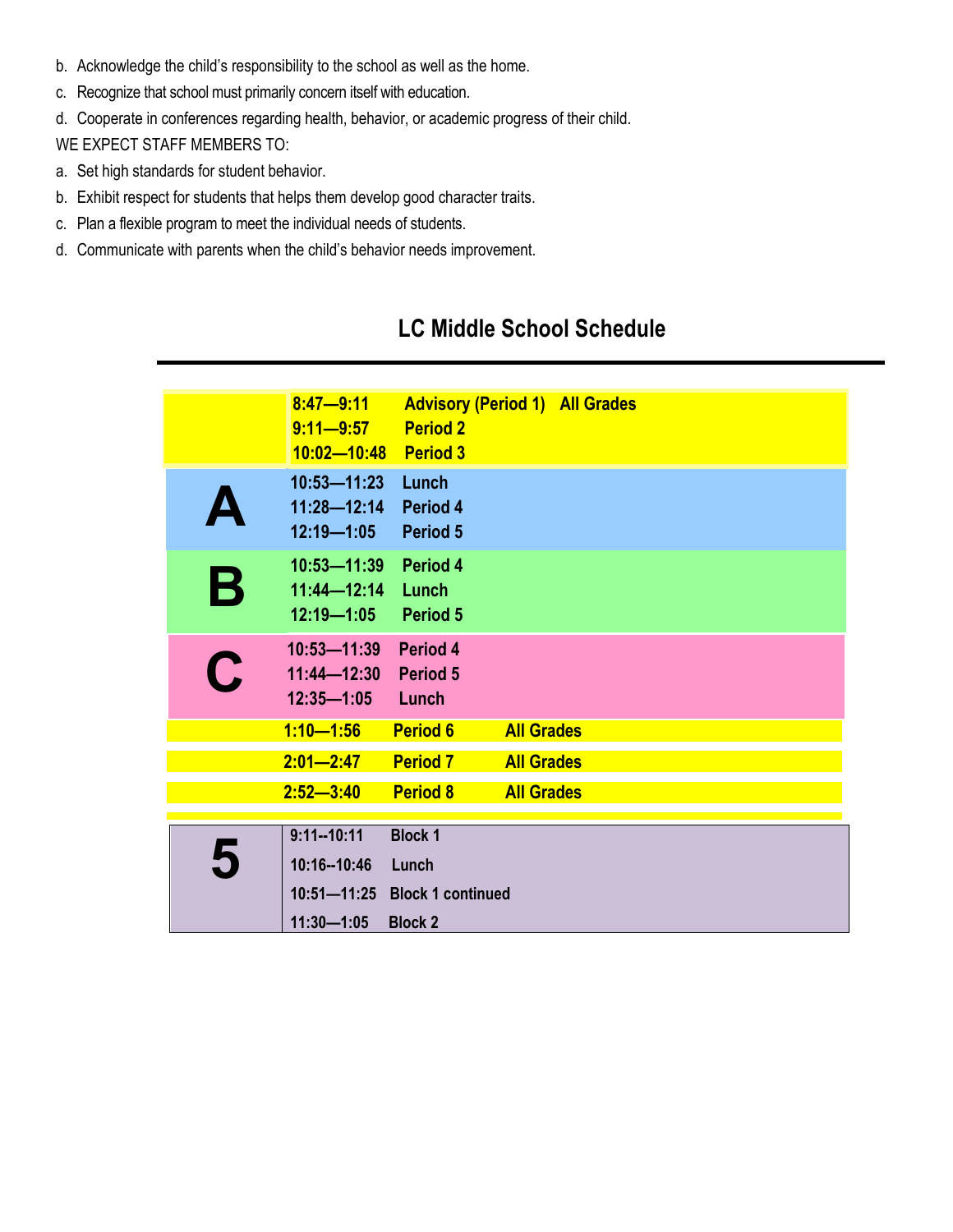- b. Acknowledge the child's responsibility to the school as well as the home.
- c. Recognize that school must primarily concern itself with education.
- d. Cooperate in conferences regarding health, behavior, or academic progress of their child.

WE EXPECT STAFF MEMBERS TO:

- a. Set high standards for student behavior.
- b. Exhibit respect for students that helps them develop good character traits.
- c. Plan a flexible program to meet the individual needs of students.
- d. Communicate with parents when the child's behavior needs improvement.

## **LC Middle School Schedule**

|             | $8:47 - 9:11$<br>$9:11 - 9:57$<br>10:02-10:48 Period 3         | <b>Advisory (Period 1) All Grades</b><br><b>Period 2</b> |                   |  |
|-------------|----------------------------------------------------------------|----------------------------------------------------------|-------------------|--|
|             | $10:53 - 11:23$<br>$11:28 - 12:14$<br>$12:19 - 1:05$           | Lunch<br>Period 4<br><b>Period 5</b>                     |                   |  |
| $\mathbf B$ | 10:53-11:39 Period 4<br>$11:44 - 12:14$<br>12:19-1:05 Period 5 | Lunch                                                    |                   |  |
| $\bullet$   | 10:53-11:39<br>11:44-12:30 Period 5<br>$12:35 - 1:05$          | Period 4<br>Lunch                                        |                   |  |
|             | $1:10 - 1:56$                                                  | <b>Period 6</b>                                          | <b>All Grades</b> |  |
|             | $2:01 - 2:47$                                                  | <b>Period 7</b>                                          | <b>All Grades</b> |  |
|             | $2:52 - 3:40$                                                  | <b>Period 8</b>                                          | <b>All Grades</b> |  |
|             | $9:11 - 10:11$                                                 | <b>Block 1</b>                                           |                   |  |
| 5           | 10:16--10:46                                                   | Lunch<br>10:51-11:25 Block 1 continued                   |                   |  |
|             | $11:30 - 1:05$                                                 | <b>Block 2</b>                                           |                   |  |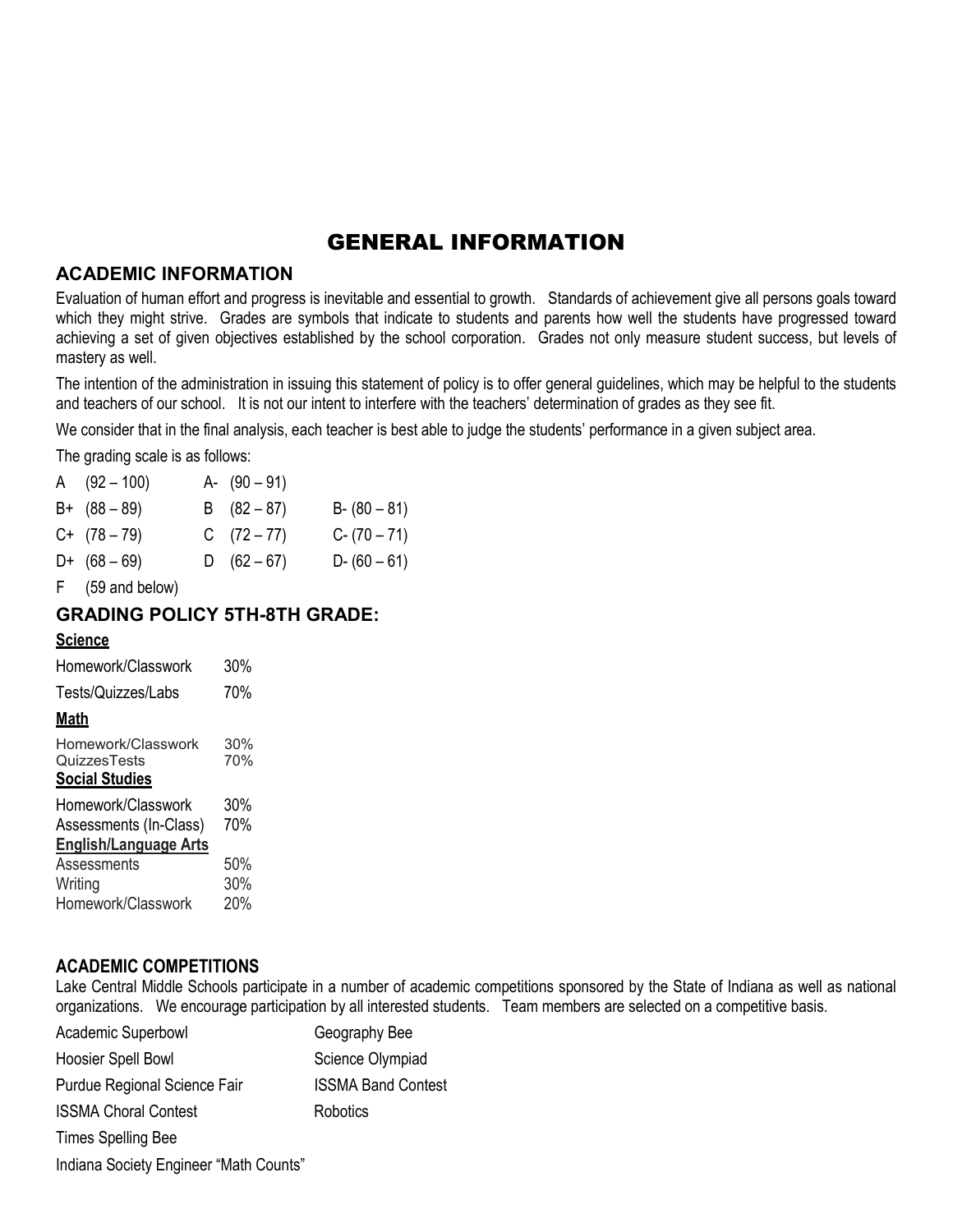## GENERAL INFORMATION

#### **ACADEMIC INFORMATION**

Evaluation of human effort and progress is inevitable and essential to growth. Standards of achievement give all persons goals toward which they might strive. Grades are symbols that indicate to students and parents how well the students have progressed toward achieving a set of given objectives established by the school corporation. Grades not only measure student success, but levels of mastery as well.

The intention of the administration in issuing this statement of policy is to offer general guidelines, which may be helpful to the students and teachers of our school. It is not our intent to interfere with the teachers' determination of grades as they see fit.

We consider that in the final analysis, each teacher is best able to judge the students' performance in a given subject area.

The grading scale is as follows:

| A $(92 - 100)$                                   | A- $(90 - 91)$ |                 |
|--------------------------------------------------|----------------|-----------------|
| $B+ (88-89)$                                     | B $(82 - 87)$  | $B - (80 - 81)$ |
| $C+$ (78 – 79)                                   | C $(72-77)$    | $C - (70 - 71)$ |
| $D+ (68-69)$                                     | D $(62 - 67)$  | $D - (60 - 61)$ |
| $\Gamma$ ( $\Gamma$ $\Omega$ and kalam $\Lambda$ |                |                 |

F (59 and below)

#### **GRADING POLICY 5TH-8TH GRADE:**

#### **Science**

| Homework/Classwork           | 30% |
|------------------------------|-----|
| Tests/Quizzes/Labs           | 70% |
| <u>Math</u>                  |     |
| Homework/Classwork           | 30% |
| QuizzesTests                 | 70% |
| <b>Social Studies</b>        |     |
| Homework/Classwork           | 30% |
|                              |     |
| Assessments (In-Class)       | 70% |
| <b>English/Language Arts</b> |     |
| Assessments                  | 50% |
| Writing                      | 30% |

#### **ACADEMIC COMPETITIONS**

Lake Central Middle Schools participate in a number of academic competitions sponsored by the State of Indiana as well as national organizations. We encourage participation by all interested students. Team members are selected on a competitive basis.

| Academic Superbowl                     | Geography Bee             |
|----------------------------------------|---------------------------|
| Hoosier Spell Bowl                     | Science Olympiad          |
| Purdue Regional Science Fair           | <b>ISSMA Band Contest</b> |
| <b>ISSMA Choral Contest</b>            | Robotics                  |
| <b>Times Spelling Bee</b>              |                           |
| Indiana Society Engineer "Math Counts" |                           |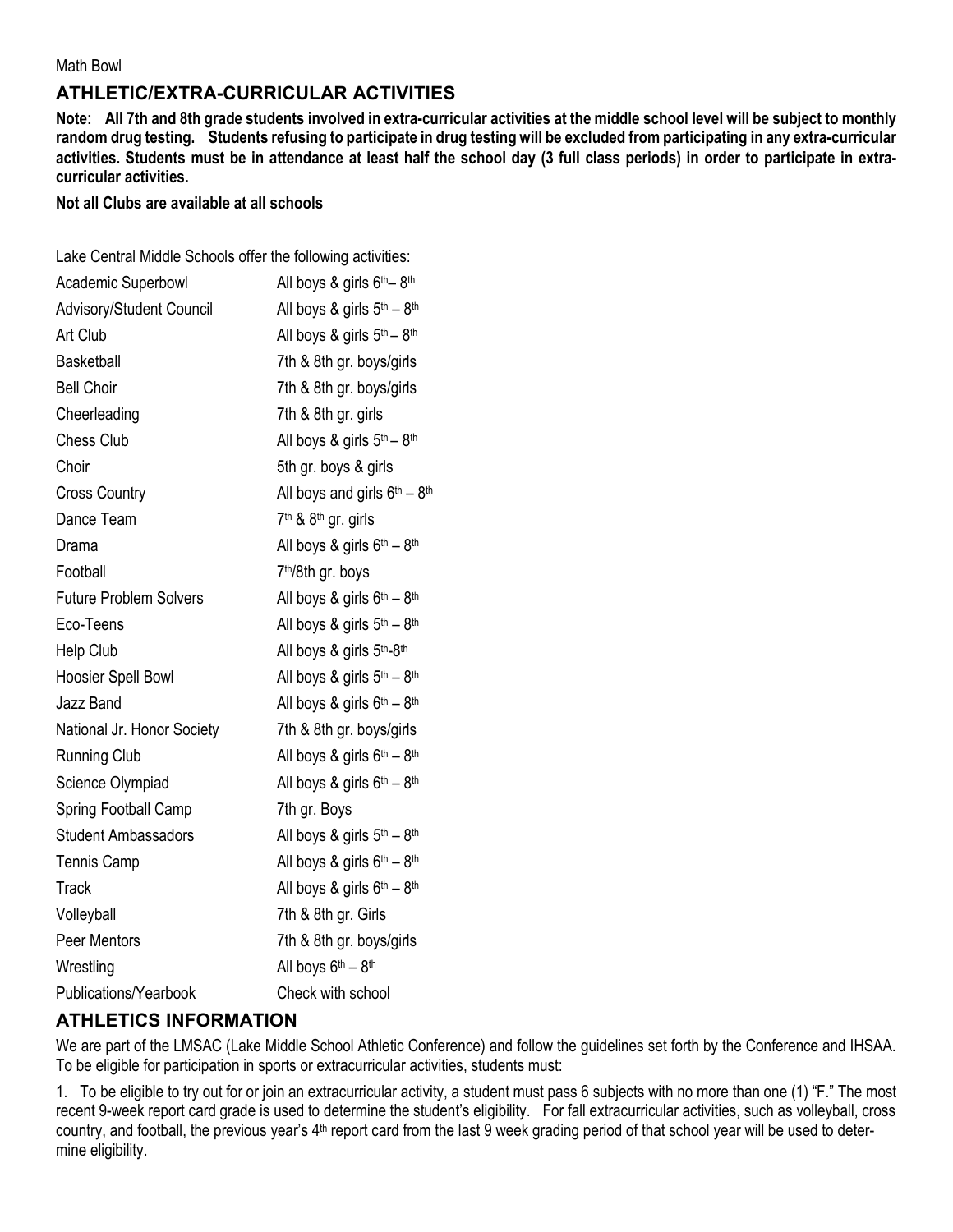Math Bowl

## **ATHLETIC/EXTRA-CURRICULAR ACTIVITIES**

**Note: All 7th and 8th grade students involved in extra-curricular activities at the middle school level will be subject to monthly random drug testing. Students refusing to participate in drug testing will be excluded from participating in any extra-curricular activities. Students must be in attendance at least half the school day (3 full class periods) in order to participate in extracurricular activities.** 

#### **Not all Clubs are available at all schools**

|  |  |  | Lake Central Middle Schools offer the following activities: |
|--|--|--|-------------------------------------------------------------|
|  |  |  |                                                             |

| Academic Superbowl            | All boys & girls 6 <sup>th</sup> -8 <sup>th</sup>  |
|-------------------------------|----------------------------------------------------|
| Advisory/Student Council      | All boys & girls $5th - 8th$                       |
| Art Club                      | All boys & girls $5th - 8th$                       |
| <b>Basketball</b>             | 7th & 8th gr. boys/girls                           |
| <b>Bell Choir</b>             | 7th & 8th gr. boys/girls                           |
| Cheerleading                  | 7th & 8th gr. girls                                |
| <b>Chess Club</b>             | All boys & girls $5th - 8th$                       |
| Choir                         | 5th gr. boys & girls                               |
| <b>Cross Country</b>          | All boys and girls $6th - 8th$                     |
| Dance Team                    | 7 <sup>th</sup> & 8 <sup>th</sup> gr. girls        |
| Drama                         | All boys & girls $6th - 8th$                       |
| Football                      | 7 <sup>th</sup> /8th gr. boys                      |
| <b>Future Problem Solvers</b> | All boys & girls 6th - 8th                         |
| Eco-Teens                     | All boys & girls 5th - 8th                         |
| Help Club                     | All boys & girls 5th-8th                           |
| Hoosier Spell Bowl            | All boys & girls 5th - 8th                         |
| Jazz Band                     | All boys & girls 6th - 8th                         |
| National Jr. Honor Society    | 7th & 8th gr. boys/girls                           |
| <b>Running Club</b>           | All boys & girls $6th - 8th$                       |
| Science Olympiad              | All boys & girls $6th - 8th$                       |
| Spring Football Camp          | 7th gr. Boys                                       |
| <b>Student Ambassadors</b>    | All boys & girls 5 <sup>th</sup> - 8 <sup>th</sup> |
| <b>Tennis Camp</b>            | All boys & girls $6th - 8th$                       |
| <b>Track</b>                  | All boys & girls 6th - 8th                         |
| Volleyball                    | 7th & 8th gr. Girls                                |
| Peer Mentors                  | 7th & 8th gr. boys/girls                           |
| Wrestling                     | All boys 6 <sup>th</sup> - 8 <sup>th</sup>         |
| Publications/Yearbook         | Check with school                                  |

## **ATHLETICS INFORMATION**

We are part of the LMSAC (Lake Middle School Athletic Conference) and follow the guidelines set forth by the Conference and IHSAA. To be eligible for participation in sports or extracurricular activities, students must:

1. To be eligible to try out for or join an extracurricular activity, a student must pass 6 subjects with no more than one (1) "F." The most recent 9-week report card grade is used to determine the student's eligibility. For fall extracurricular activities, such as volleyball, cross country, and football, the previous year's 4th report card from the last 9 week grading period of that school year will be used to determine eligibility.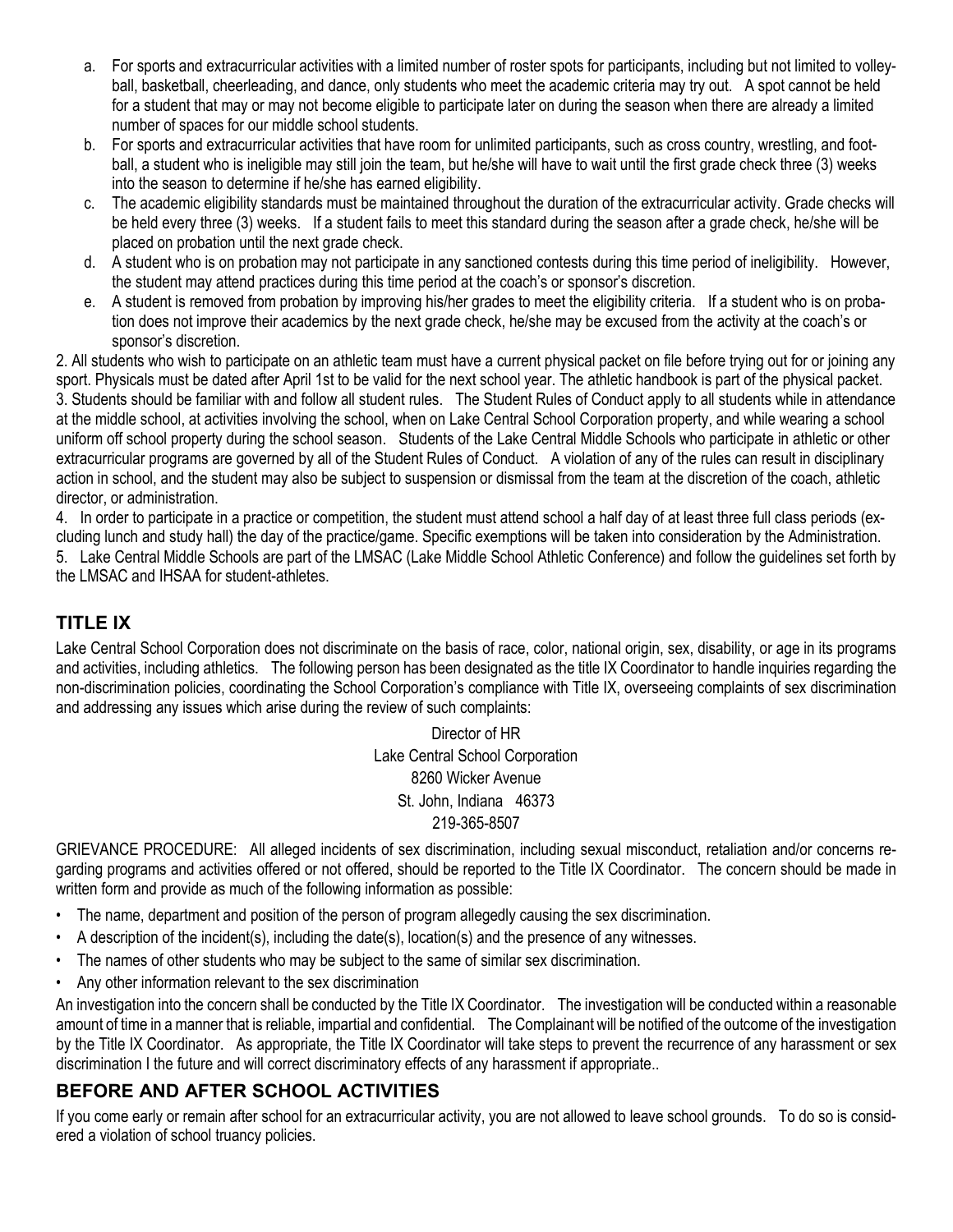- a. For sports and extracurricular activities with a limited number of roster spots for participants, including but not limited to volleyball, basketball, cheerleading, and dance, only students who meet the academic criteria may try out. A spot cannot be held for a student that may or may not become eligible to participate later on during the season when there are already a limited number of spaces for our middle school students.
- b. For sports and extracurricular activities that have room for unlimited participants, such as cross country, wrestling, and football, a student who is ineligible may still join the team, but he/she will have to wait until the first grade check three (3) weeks into the season to determine if he/she has earned eligibility.
- c. The academic eligibility standards must be maintained throughout the duration of the extracurricular activity. Grade checks will be held every three (3) weeks. If a student fails to meet this standard during the season after a grade check, he/she will be placed on probation until the next grade check.
- d. A student who is on probation may not participate in any sanctioned contests during this time period of ineligibility. However, the student may attend practices during this time period at the coach's or sponsor's discretion.
- e. A student is removed from probation by improving his/her grades to meet the eligibility criteria. If a student who is on probation does not improve their academics by the next grade check, he/she may be excused from the activity at the coach's or sponsor's discretion.

2. All students who wish to participate on an athletic team must have a current physical packet on file before trying out for or joining any sport. Physicals must be dated after April 1st to be valid for the next school year. The athletic handbook is part of the physical packet. 3. Students should be familiar with and follow all student rules. The Student Rules of Conduct apply to all students while in attendance at the middle school, at activities involving the school, when on Lake Central School Corporation property, and while wearing a school uniform off school property during the school season. Students of the Lake Central Middle Schools who participate in athletic or other extracurricular programs are governed by all of the Student Rules of Conduct. A violation of any of the rules can result in disciplinary action in school, and the student may also be subject to suspension or dismissal from the team at the discretion of the coach, athletic director, or administration.

4. In order to participate in a practice or competition, the student must attend school a half day of at least three full class periods (excluding lunch and study hall) the day of the practice/game. Specific exemptions will be taken into consideration by the Administration. 5. Lake Central Middle Schools are part of the LMSAC (Lake Middle School Athletic Conference) and follow the guidelines set forth by the LMSAC and IHSAA for student-athletes.

## **TITLE IX**

Lake Central School Corporation does not discriminate on the basis of race, color, national origin, sex, disability, or age in its programs and activities, including athletics. The following person has been designated as the title IX Coordinator to handle inquiries regarding the non-discrimination policies, coordinating the School Corporation's compliance with Title IX, overseeing complaints of sex discrimination and addressing any issues which arise during the review of such complaints:

> Director of HR Lake Central School Corporation 8260 Wicker Avenue St. John, Indiana 46373 219-365-8507

GRIEVANCE PROCEDURE: All alleged incidents of sex discrimination, including sexual misconduct, retaliation and/or concerns regarding programs and activities offered or not offered, should be reported to the Title IX Coordinator. The concern should be made in written form and provide as much of the following information as possible:

- The name, department and position of the person of program allegedly causing the sex discrimination.
- A description of the incident(s), including the date(s), location(s) and the presence of any witnesses.
- The names of other students who may be subject to the same of similar sex discrimination.
- Any other information relevant to the sex discrimination

An investigation into the concern shall be conducted by the Title IX Coordinator. The investigation will be conducted within a reasonable amount of time in a manner that is reliable, impartial and confidential. The Complainant will be notified of the outcome of the investigation by the Title IX Coordinator. As appropriate, the Title IX Coordinator will take steps to prevent the recurrence of any harassment or sex discrimination I the future and will correct discriminatory effects of any harassment if appropriate..

## **BEFORE AND AFTER SCHOOL ACTIVITIES**

If you come early or remain after school for an extracurricular activity, you are not allowed to leave school grounds. To do so is considered a violation of school truancy policies.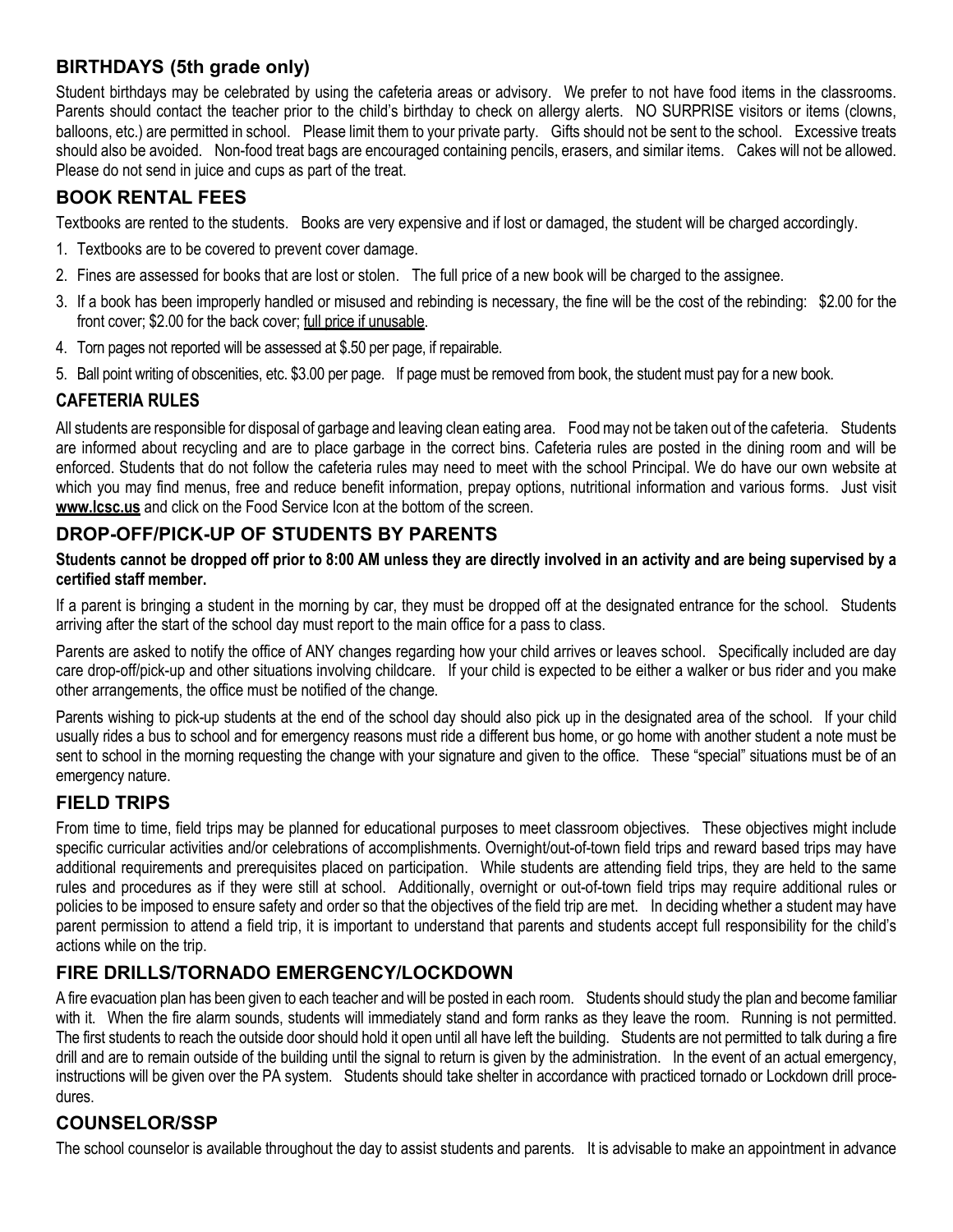## **BIRTHDAYS (5th grade only)**

Student birthdays may be celebrated by using the cafeteria areas or advisory. We prefer to not have food items in the classrooms. Parents should contact the teacher prior to the child's birthday to check on allergy alerts. NO SURPRISE visitors or items (clowns, balloons, etc.) are permitted in school. Please limit them to your private party. Gifts should not be sent to the school. Excessive treats should also be avoided. Non-food treat bags are encouraged containing pencils, erasers, and similar items. Cakes will not be allowed. Please do not send in juice and cups as part of the treat.

## **BOOK RENTAL FEES**

Textbooks are rented to the students. Books are very expensive and if lost or damaged, the student will be charged accordingly.

- 1. Textbooks are to be covered to prevent cover damage.
- 2. Fines are assessed for books that are lost or stolen. The full price of a new book will be charged to the assignee.
- 3. If a book has been improperly handled or misused and rebinding is necessary, the fine will be the cost of the rebinding: \$2.00 for the front cover; \$2.00 for the back cover; full price if unusable.
- 4. Torn pages not reported will be assessed at \$.50 per page, if repairable.
- 5. Ball point writing of obscenities, etc. \$3.00 per page. If page must be removed from book, the student must pay for a new book.

## **CAFETERIA RULES**

All students are responsible for disposal of garbage and leaving clean eating area. Food may not be taken out of the cafeteria. Students are informed about recycling and are to place garbage in the correct bins. Cafeteria rules are posted in the dining room and will be enforced. Students that do not follow the cafeteria rules may need to meet with the school Principal. We do have our own website at which you may find menus, free and reduce benefit information, prepay options, nutritional information and various forms. Just visit **www.lcsc.us** and click on the Food Service Icon at the bottom of the screen.

## **DROP-OFF/PICK-UP OF STUDENTS BY PARENTS**

#### **Students cannot be dropped off prior to 8:00 AM unless they are directly involved in an activity and are being supervised by a certified staff member.**

If a parent is bringing a student in the morning by car, they must be dropped off at the designated entrance for the school. Students arriving after the start of the school day must report to the main office for a pass to class.

Parents are asked to notify the office of ANY changes regarding how your child arrives or leaves school. Specifically included are day care drop-off/pick-up and other situations involving childcare. If your child is expected to be either a walker or bus rider and you make other arrangements, the office must be notified of the change.

Parents wishing to pick-up students at the end of the school day should also pick up in the designated area of the school. If your child usually rides a bus to school and for emergency reasons must ride a different bus home, or go home with another student a note must be sent to school in the morning requesting the change with your signature and given to the office. These "special" situations must be of an emergency nature.

## **FIELD TRIPS**

From time to time, field trips may be planned for educational purposes to meet classroom objectives. These objectives might include specific curricular activities and/or celebrations of accomplishments. Overnight/out-of-town field trips and reward based trips may have additional requirements and prerequisites placed on participation. While students are attending field trips, they are held to the same rules and procedures as if they were still at school. Additionally, overnight or out-of-town field trips may require additional rules or policies to be imposed to ensure safety and order so that the objectives of the field trip are met. In deciding whether a student may have parent permission to attend a field trip, it is important to understand that parents and students accept full responsibility for the child's actions while on the trip.

## **FIRE DRILLS/TORNADO EMERGENCY/LOCKDOWN**

A fire evacuation plan has been given to each teacher and will be posted in each room. Students should study the plan and become familiar with it. When the fire alarm sounds, students will immediately stand and form ranks as they leave the room. Running is not permitted. The first students to reach the outside door should hold it open until all have left the building. Students are not permitted to talk during a fire drill and are to remain outside of the building until the signal to return is given by the administration. In the event of an actual emergency, instructions will be given over the PA system. Students should take shelter in accordance with practiced tornado or Lockdown drill procedures.

## **COUNSELOR/SSP**

The school counselor is available throughout the day to assist students and parents. It is advisable to make an appointment in advance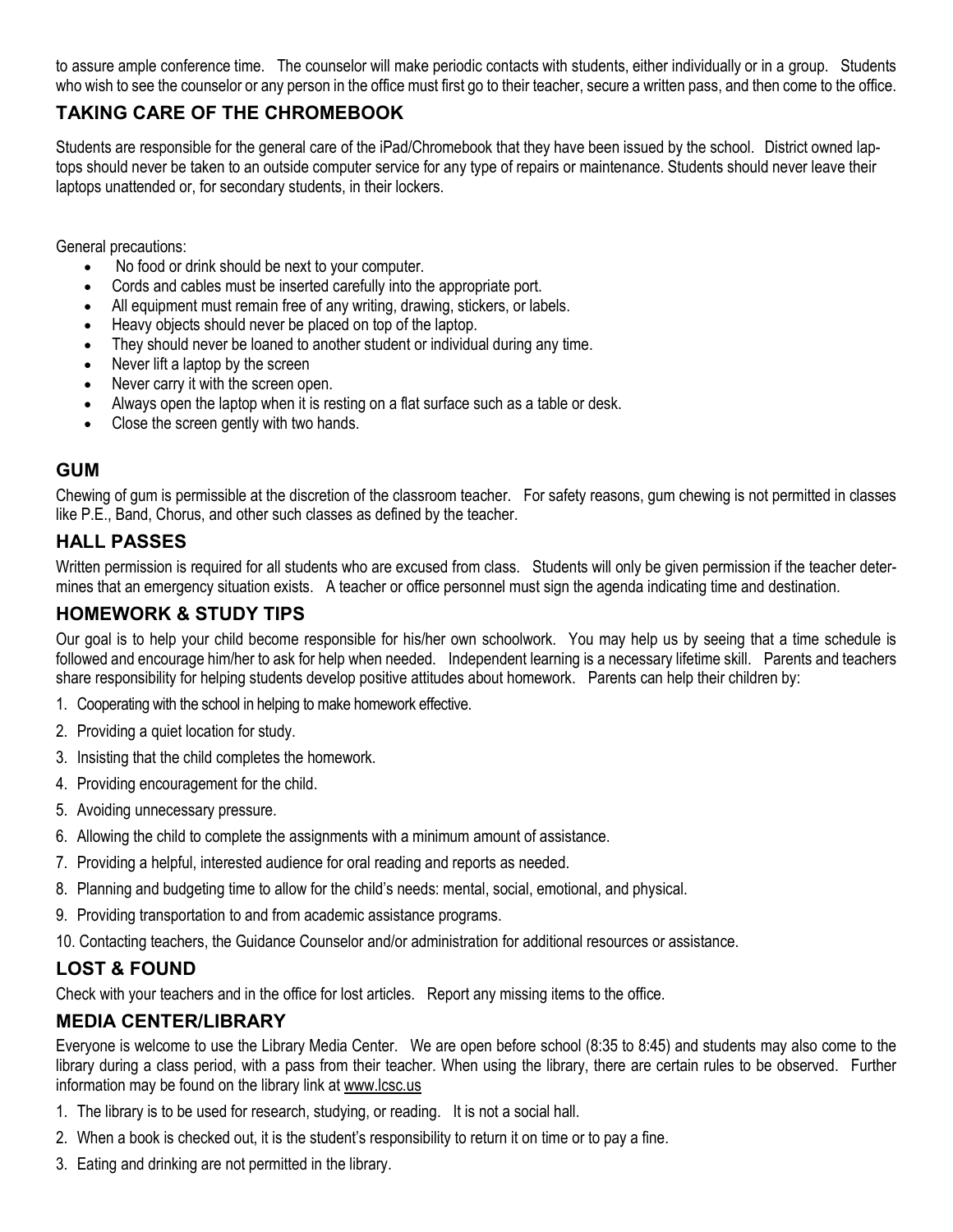to assure ample conference time. The counselor will make periodic contacts with students, either individually or in a group. Students who wish to see the counselor or any person in the office must first go to their teacher, secure a written pass, and then come to the office.

## **TAKING CARE OF THE CHROMEBOOK**

Students are responsible for the general care of the iPad/Chromebook that they have been issued by the school. District owned laptops should never be taken to an outside computer service for any type of repairs or maintenance. Students should never leave their laptops unattended or, for secondary students, in their lockers.

General precautions:

- No food or drink should be next to your computer.
- Cords and cables must be inserted carefully into the appropriate port.
- All equipment must remain free of any writing, drawing, stickers, or labels.
- Heavy objects should never be placed on top of the laptop.
- They should never be loaned to another student or individual during any time.
- Never lift a laptop by the screen
- Never carry it with the screen open.
- Always open the laptop when it is resting on a flat surface such as a table or desk.
- Close the screen gently with two hands.

#### **GUM**

Chewing of gum is permissible at the discretion of the classroom teacher. For safety reasons, gum chewing is not permitted in classes like P.E., Band, Chorus, and other such classes as defined by the teacher.

### **HALL PASSES**

Written permission is required for all students who are excused from class. Students will only be given permission if the teacher determines that an emergency situation exists. A teacher or office personnel must sign the agenda indicating time and destination.

### **HOMEWORK & STUDY TIPS**

Our goal is to help your child become responsible for his/her own schoolwork. You may help us by seeing that a time schedule is followed and encourage him/her to ask for help when needed. Independent learning is a necessary lifetime skill. Parents and teachers share responsibility for helping students develop positive attitudes about homework. Parents can help their children by:

- 1. Cooperating with the school in helping to make homework effective.
- 2. Providing a quiet location for study.
- 3. Insisting that the child completes the homework.
- 4. Providing encouragement for the child.
- 5. Avoiding unnecessary pressure.
- 6. Allowing the child to complete the assignments with a minimum amount of assistance.
- 7. Providing a helpful, interested audience for oral reading and reports as needed.
- 8. Planning and budgeting time to allow for the child's needs: mental, social, emotional, and physical.
- 9. Providing transportation to and from academic assistance programs.
- 10. Contacting teachers, the Guidance Counselor and/or administration for additional resources or assistance.

## **LOST & FOUND**

Check with your teachers and in the office for lost articles. Report any missing items to the office.

#### **MEDIA CENTER/LIBRARY**

Everyone is welcome to use the Library Media Center. We are open before school (8:35 to 8:45) and students may also come to the library during a class period, with a pass from their teacher. When using the library, there are certain rules to be observed. Further information may be found on the library link at www.lcsc.us

- 1. The library is to be used for research, studying, or reading. It is not a social hall.
- 2. When a book is checked out, it is the student's responsibility to return it on time or to pay a fine.
- 3. Eating and drinking are not permitted in the library.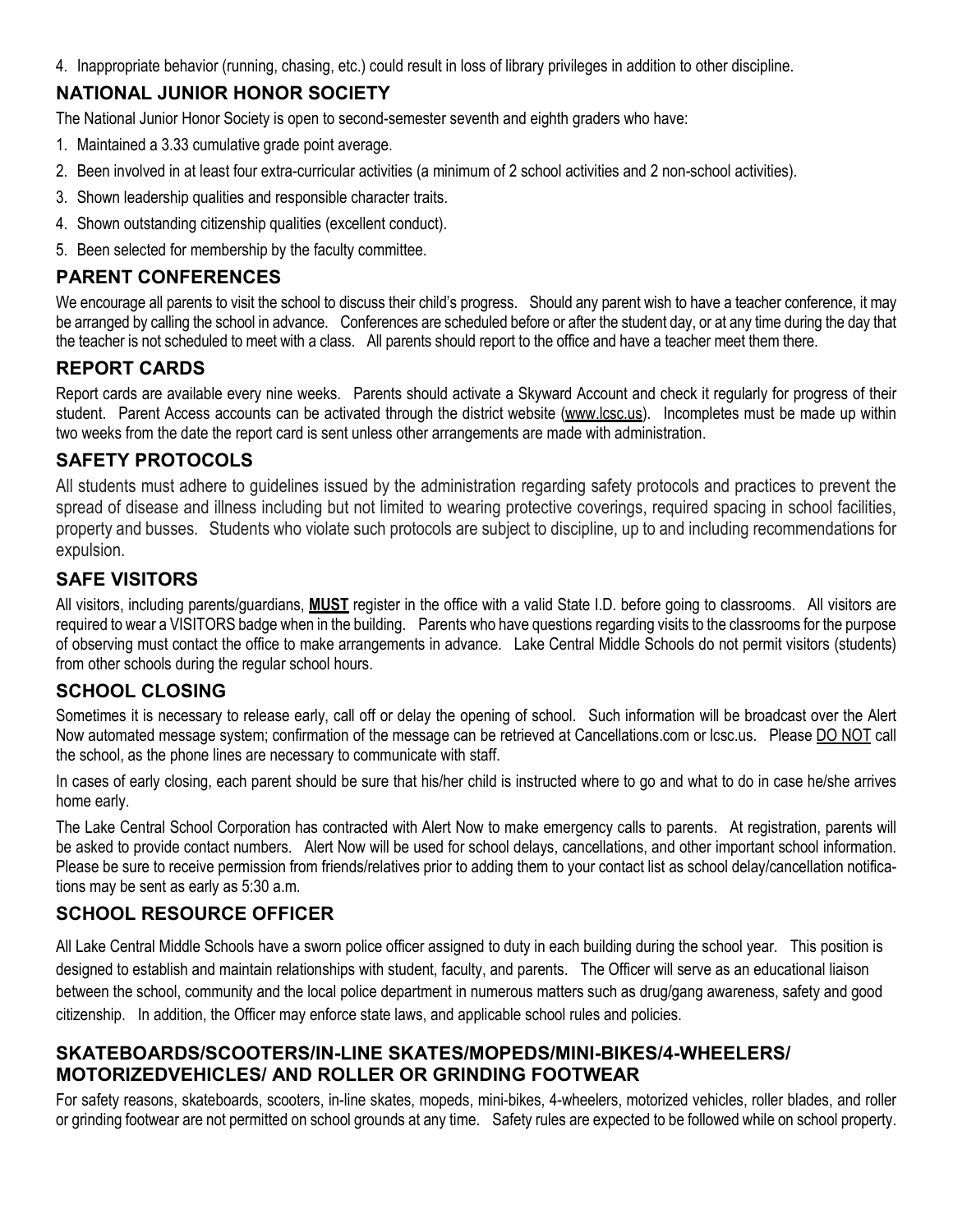4. Inappropriate behavior (running, chasing, etc.) could result in loss of library privileges in addition to other discipline.

## **NATIONAL JUNIOR HONOR SOCIETY**

The National Junior Honor Society is open to second-semester seventh and eighth graders who have:

- 1. Maintained a 3.33 cumulative grade point average.
- 2. Been involved in at least four extra-curricular activities (a minimum of 2 school activities and 2 non-school activities).
- 3. Shown leadership qualities and responsible character traits.
- 4. Shown outstanding citizenship qualities (excellent conduct).
- 5. Been selected for membership by the faculty committee.

### **PARENT CONFERENCES**

We encourage all parents to visit the school to discuss their child's progress. Should any parent wish to have a teacher conference, it may be arranged by calling the school in advance. Conferences are scheduled before or after the student day, or at any time during the day that the teacher is not scheduled to meet with a class. All parents should report to the office and have a teacher meet them there.

## **REPORT CARDS**

Report cards are available every nine weeks. Parents should activate a Skyward Account and check it regularly for progress of their student. Parent Access accounts can be activated through the district website (www.lcsc.us). Incompletes must be made up within two weeks from the date the report card is sent unless other arrangements are made with administration.

## **SAFETY PROTOCOLS**

All students must adhere to guidelines issued by the administration regarding safety protocols and practices to prevent the spread of disease and illness including but not limited to wearing protective coverings, required spacing in school facilities, property and busses. Students who violate such protocols are subject to discipline, up to and including recommendations for expulsion.

## **SAFE VISITORS**

All visitors, including parents/guardians, **MUST** register in the office with a valid State I.D. before going to classrooms. All visitors are required to wear a VISITORS badge when in the building. Parents who have questions regarding visits to the classrooms for the purpose of observing must contact the office to make arrangements in advance. Lake Central Middle Schools do not permit visitors (students) from other schools during the regular school hours.

## **SCHOOL CLOSING**

Sometimes it is necessary to release early, call off or delay the opening of school. Such information will be broadcast over the Alert Now automated message system; confirmation of the message can be retrieved at Cancellations.com or lcsc.us. Please DO NOT call the school, as the phone lines are necessary to communicate with staff.

In cases of early closing, each parent should be sure that his/her child is instructed where to go and what to do in case he/she arrives home early.

The Lake Central School Corporation has contracted with Alert Now to make emergency calls to parents. At registration, parents will be asked to provide contact numbers. Alert Now will be used for school delays, cancellations, and other important school information. Please be sure to receive permission from friends/relatives prior to adding them to your contact list as school delay/cancellation notifications may be sent as early as 5:30 a.m.

## **SCHOOL RESOURCE OFFICER**

All Lake Central Middle Schools have a sworn police officer assigned to duty in each building during the school year. This position is designed to establish and maintain relationships with student, faculty, and parents. The Officer will serve as an educational liaison between the school, community and the local police department in numerous matters such as drug/gang awareness, safety and good citizenship. In addition, the Officer may enforce state laws, and applicable school rules and policies.

### **SKATEBOARDS/SCOOTERS/IN-LINE SKATES/MOPEDS/MINI-BIKES/4-WHEELERS/ MOTORIZEDVEHICLES/ AND ROLLER OR GRINDING FOOTWEAR**

For safety reasons, skateboards, scooters, in-line skates, mopeds, mini-bikes, 4-wheelers, motorized vehicles, roller blades, and roller or grinding footwear are not permitted on school grounds at any time. Safety rules are expected to be followed while on school property.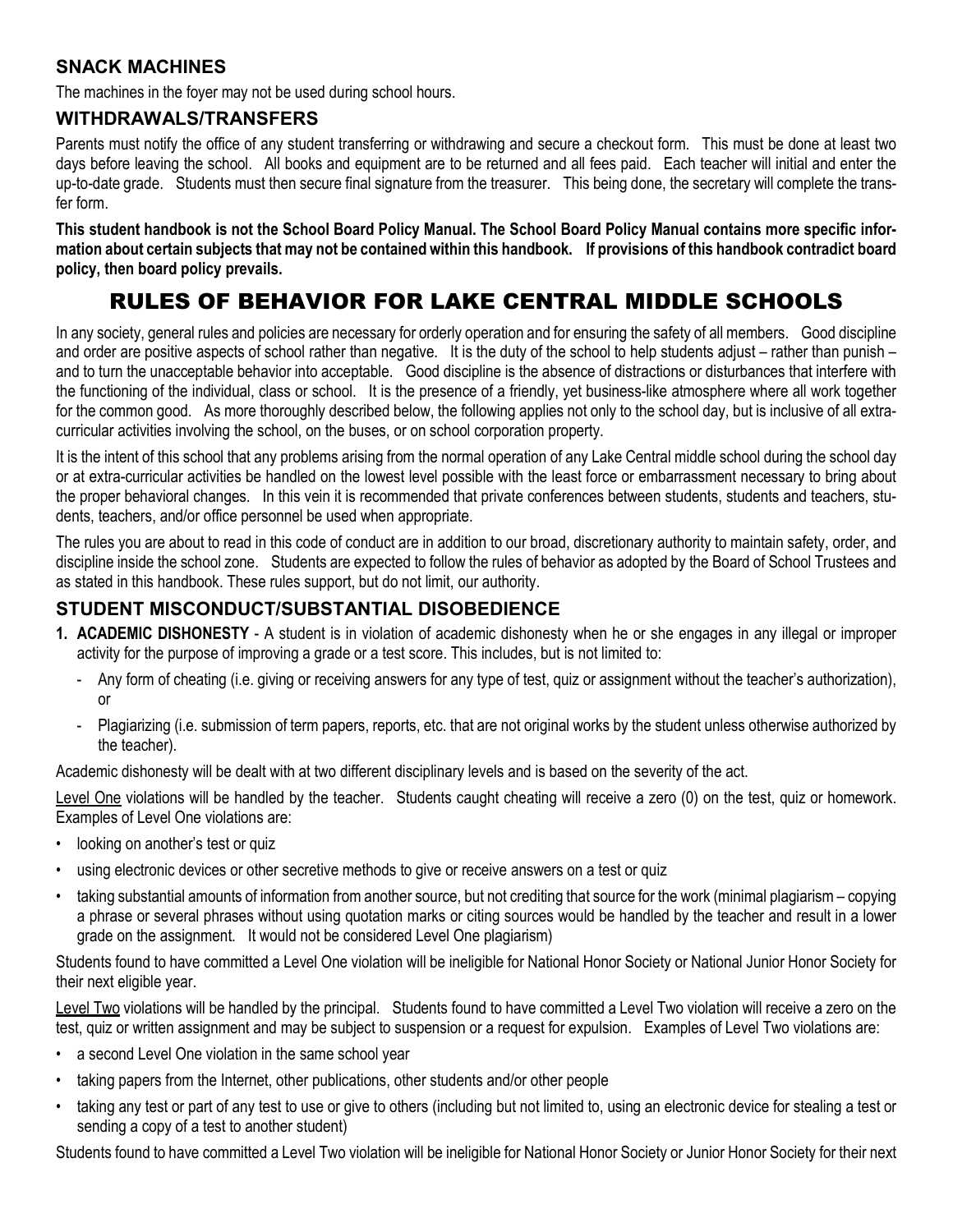## **SNACK MACHINES**

The machines in the foyer may not be used during school hours.

#### **WITHDRAWALS/TRANSFERS**

Parents must notify the office of any student transferring or withdrawing and secure a checkout form. This must be done at least two days before leaving the school. All books and equipment are to be returned and all fees paid. Each teacher will initial and enter the up-to-date grade. Students must then secure final signature from the treasurer. This being done, the secretary will complete the transfer form.

**This student handbook is not the School Board Policy Manual. The School Board Policy Manual contains more specific information about certain subjects that may not be contained within this handbook. If provisions of this handbook contradict board policy, then board policy prevails.**

## RULES OF BEHAVIOR FOR LAKE CENTRAL MIDDLE SCHOOLS

In any society, general rules and policies are necessary for orderly operation and for ensuring the safety of all members. Good discipline and order are positive aspects of school rather than negative. It is the duty of the school to help students adjust – rather than punish – and to turn the unacceptable behavior into acceptable. Good discipline is the absence of distractions or disturbances that interfere with the functioning of the individual, class or school. It is the presence of a friendly, yet business-like atmosphere where all work together for the common good. As more thoroughly described below, the following applies not only to the school day, but is inclusive of all extracurricular activities involving the school, on the buses, or on school corporation property.

It is the intent of this school that any problems arising from the normal operation of any Lake Central middle school during the school day or at extra-curricular activities be handled on the lowest level possible with the least force or embarrassment necessary to bring about the proper behavioral changes. In this vein it is recommended that private conferences between students, students and teachers, students, teachers, and/or office personnel be used when appropriate.

The rules you are about to read in this code of conduct are in addition to our broad, discretionary authority to maintain safety, order, and discipline inside the school zone. Students are expected to follow the rules of behavior as adopted by the Board of School Trustees and as stated in this handbook. These rules support, but do not limit, our authority.

### **STUDENT MISCONDUCT/SUBSTANTIAL DISOBEDIENCE**

- **1. ACADEMIC DISHONESTY** A student is in violation of academic dishonesty when he or she engages in any illegal or improper activity for the purpose of improving a grade or a test score. This includes, but is not limited to:
	- Any form of cheating (i.e. giving or receiving answers for any type of test, quiz or assignment without the teacher's authorization), or
	- Plagiarizing (i.e. submission of term papers, reports, etc. that are not original works by the student unless otherwise authorized by the teacher).

Academic dishonesty will be dealt with at two different disciplinary levels and is based on the severity of the act.

Level One violations will be handled by the teacher. Students caught cheating will receive a zero (0) on the test, quiz or homework. Examples of Level One violations are:

- looking on another's test or quiz
- using electronic devices or other secretive methods to give or receive answers on a test or quiz
- taking substantial amounts of information from another source, but not crediting that source for the work (minimal plagiarism copying a phrase or several phrases without using quotation marks or citing sources would be handled by the teacher and result in a lower grade on the assignment. It would not be considered Level One plagiarism)

Students found to have committed a Level One violation will be ineligible for National Honor Society or National Junior Honor Society for their next eligible year.

Level Two violations will be handled by the principal. Students found to have committed a Level Two violation will receive a zero on the test, quiz or written assignment and may be subject to suspension or a request for expulsion. Examples of Level Two violations are:

- a second Level One violation in the same school year
- taking papers from the Internet, other publications, other students and/or other people
- taking any test or part of any test to use or give to others (including but not limited to, using an electronic device for stealing a test or sending a copy of a test to another student)

Students found to have committed a Level Two violation will be ineligible for National Honor Society or Junior Honor Society for their next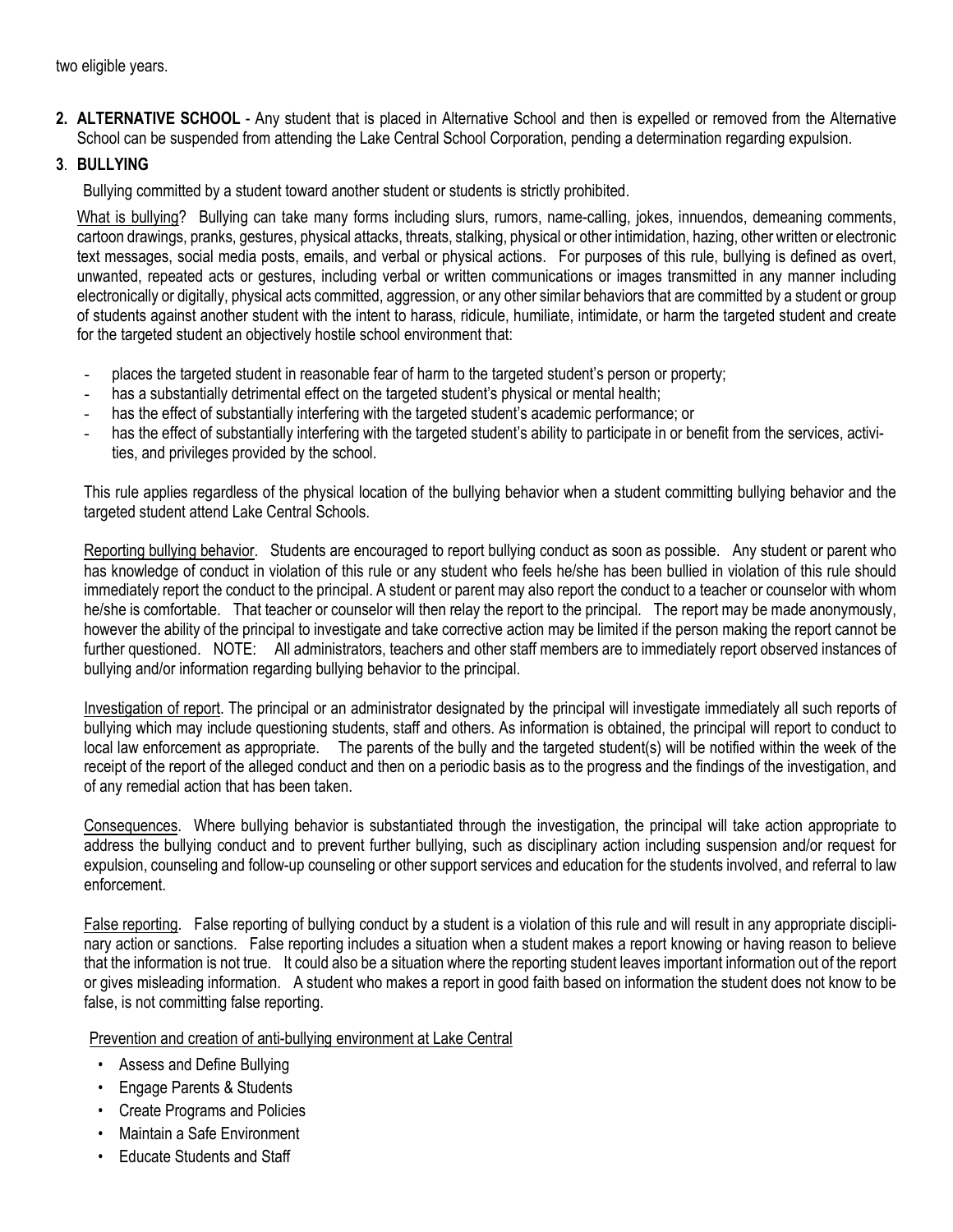two eligible years.

**2. ALTERNATIVE SCHOOL** - Any student that is placed in Alternative School and then is expelled or removed from the Alternative School can be suspended from attending the Lake Central School Corporation, pending a determination regarding expulsion.

#### **3**. **BULLYING**

Bullying committed by a student toward another student or students is strictly prohibited.

What is bullying? Bullying can take many forms including slurs, rumors, name-calling, jokes, innuendos, demeaning comments, cartoon drawings, pranks, gestures, physical attacks, threats, stalking, physical or other intimidation, hazing, other written or electronic text messages, social media posts, emails, and verbal or physical actions. For purposes of this rule, bullying is defined as overt, unwanted, repeated acts or gestures, including verbal or written communications or images transmitted in any manner including electronically or digitally, physical acts committed, aggression, or any other similar behaviors that are committed by a student or group of students against another student with the intent to harass, ridicule, humiliate, intimidate, or harm the targeted student and create for the targeted student an objectively hostile school environment that:

- places the targeted student in reasonable fear of harm to the targeted student's person or property;
- has a substantially detrimental effect on the targeted student's physical or mental health;
- has the effect of substantially interfering with the targeted student's academic performance; or
- has the effect of substantially interfering with the targeted student's ability to participate in or benefit from the services, activities, and privileges provided by the school.

This rule applies regardless of the physical location of the bullying behavior when a student committing bullying behavior and the targeted student attend Lake Central Schools.

Reporting bullying behavior. Students are encouraged to report bullying conduct as soon as possible. Any student or parent who has knowledge of conduct in violation of this rule or any student who feels he/she has been bullied in violation of this rule should immediately report the conduct to the principal. A student or parent may also report the conduct to a teacher or counselor with whom he/she is comfortable. That teacher or counselor will then relay the report to the principal. The report may be made anonymously, however the ability of the principal to investigate and take corrective action may be limited if the person making the report cannot be further questioned. NOTE: All administrators, teachers and other staff members are to immediately report observed instances of bullying and/or information regarding bullying behavior to the principal.

Investigation of report. The principal or an administrator designated by the principal will investigate immediately all such reports of bullying which may include questioning students, staff and others. As information is obtained, the principal will report to conduct to local law enforcement as appropriate. The parents of the bully and the targeted student(s) will be notified within the week of the receipt of the report of the alleged conduct and then on a periodic basis as to the progress and the findings of the investigation, and of any remedial action that has been taken.

Consequences. Where bullying behavior is substantiated through the investigation, the principal will take action appropriate to address the bullying conduct and to prevent further bullying, such as disciplinary action including suspension and/or request for expulsion, counseling and follow-up counseling or other support services and education for the students involved, and referral to law enforcement.

False reporting. False reporting of bullying conduct by a student is a violation of this rule and will result in any appropriate disciplinary action or sanctions. False reporting includes a situation when a student makes a report knowing or having reason to believe that the information is not true. It could also be a situation where the reporting student leaves important information out of the report or gives misleading information. A student who makes a report in good faith based on information the student does not know to be false, is not committing false reporting.

Prevention and creation of anti-bullying environment at Lake Central

- Assess and Define Bullying
- Engage Parents & Students
- Create Programs and Policies
- Maintain a Safe Environment
- Educate Students and Staff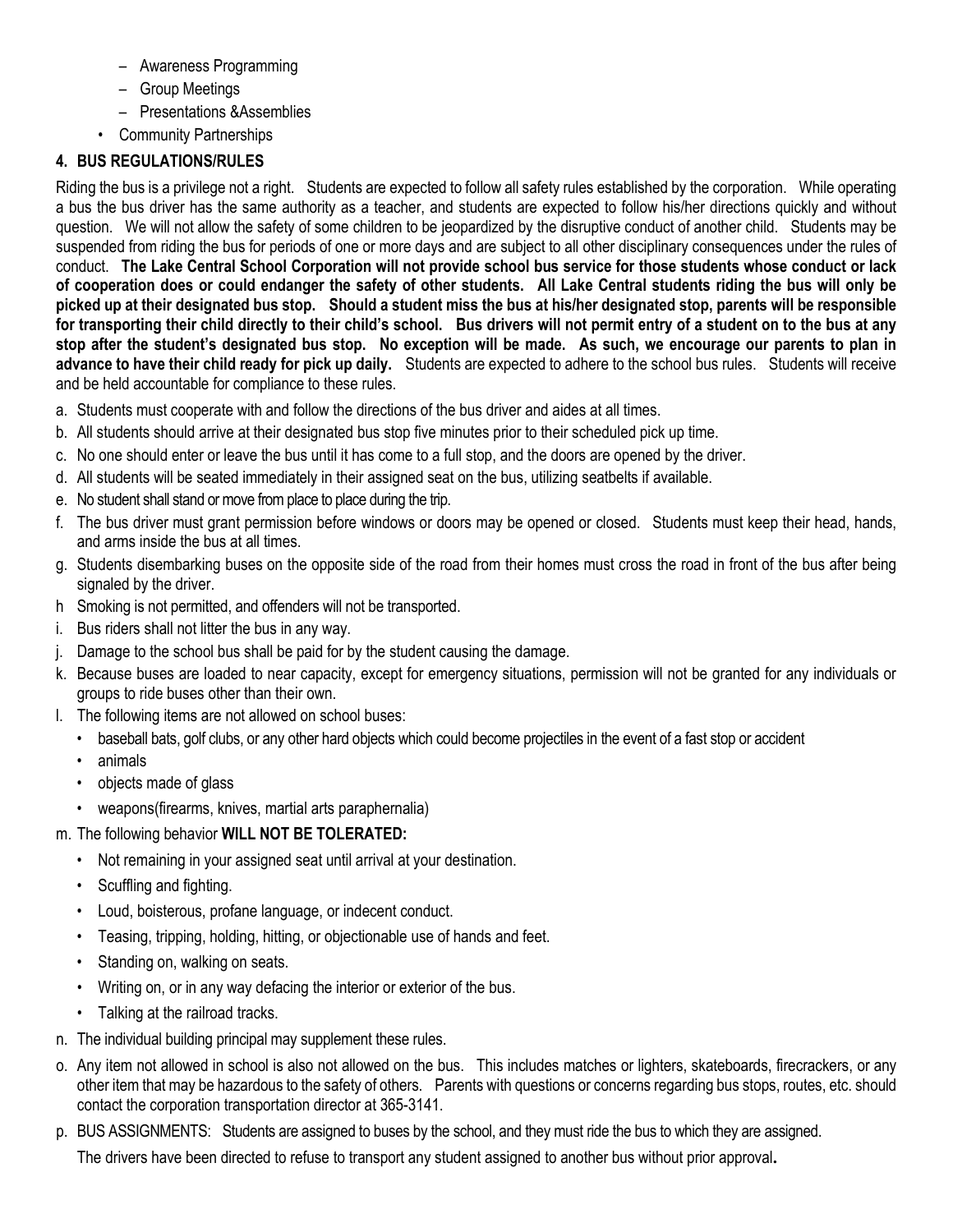- Awareness Programming
- Group Meetings
- Presentations &Assemblies
- Community Partnerships

## **4. BUS REGULATIONS/RULES**

Riding the bus is a privilege not a right. Students are expected to follow all safety rules established by the corporation. While operating a bus the bus driver has the same authority as a teacher, and students are expected to follow his/her directions quickly and without question. We will not allow the safety of some children to be jeopardized by the disruptive conduct of another child. Students may be suspended from riding the bus for periods of one or more days and are subject to all other disciplinary consequences under the rules of conduct. **The Lake Central School Corporation will not provide school bus service for those students whose conduct or lack of cooperation does or could endanger the safety of other students. All Lake Central students riding the bus will only be picked up at their designated bus stop. Should a student miss the bus at his/her designated stop, parents will be responsible for transporting their child directly to their child's school. Bus drivers will not permit entry of a student on to the bus at any stop after the student's designated bus stop. No exception will be made. As such, we encourage our parents to plan in advance to have their child ready for pick up daily.** Students are expected to adhere to the school bus rules. Students will receive and be held accountable for compliance to these rules.

- a. Students must cooperate with and follow the directions of the bus driver and aides at all times.
- b. All students should arrive at their designated bus stop five minutes prior to their scheduled pick up time.
- c. No one should enter or leave the bus until it has come to a full stop, and the doors are opened by the driver.
- d. All students will be seated immediately in their assigned seat on the bus, utilizing seatbelts if available.
- e. No student shall stand or move from place to place during the trip.
- f. The bus driver must grant permission before windows or doors may be opened or closed. Students must keep their head, hands, and arms inside the bus at all times.
- g. Students disembarking buses on the opposite side of the road from their homes must cross the road in front of the bus after being signaled by the driver.
- h Smoking is not permitted, and offenders will not be transported.
- i. Bus riders shall not litter the bus in any way.
- j. Damage to the school bus shall be paid for by the student causing the damage.
- k. Because buses are loaded to near capacity, except for emergency situations, permission will not be granted for any individuals or groups to ride buses other than their own.
- l. The following items are not allowed on school buses:
	- baseball bats, golf clubs, or any other hard objects which could become projectiles in the event of a fast stop or accident
	- animals
	- objects made of glass
	- weapons(firearms, knives, martial arts paraphernalia)
- m. The following behavior **WILL NOT BE TOLERATED:**
	- Not remaining in your assigned seat until arrival at your destination.
	- Scuffling and fighting.
	- Loud, boisterous, profane language, or indecent conduct.
	- Teasing, tripping, holding, hitting, or objectionable use of hands and feet.
	- Standing on, walking on seats.
	- Writing on, or in any way defacing the interior or exterior of the bus.
	- Talking at the railroad tracks.
- n. The individual building principal may supplement these rules.
- o. Any item not allowed in school is also not allowed on the bus. This includes matches or lighters, skateboards, firecrackers, or any other item that may be hazardous to the safety of others. Parents with questions or concerns regarding bus stops, routes, etc. should contact the corporation transportation director at 365-3141.
- p. BUS ASSIGNMENTS: Students are assigned to buses by the school, and they must ride the bus to which they are assigned.

The drivers have been directed to refuse to transport any student assigned to another bus without prior approval**.**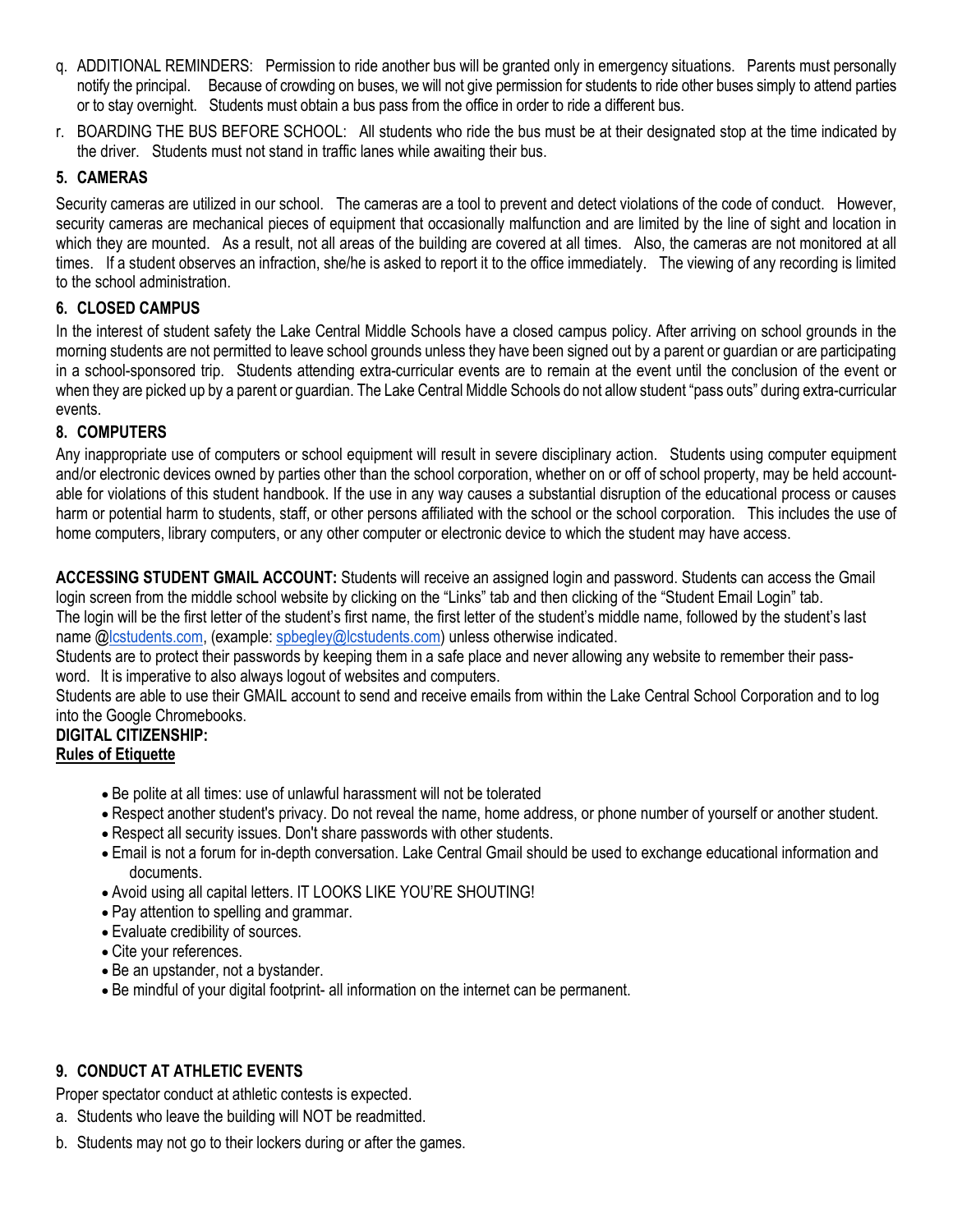- q. ADDITIONAL REMINDERS: Permission to ride another bus will be granted only in emergency situations. Parents must personally notify the principal. Because of crowding on buses, we will not give permission for students to ride other buses simply to attend parties or to stay overnight. Students must obtain a bus pass from the office in order to ride a different bus.
- r. BOARDING THE BUS BEFORE SCHOOL: All students who ride the bus must be at their designated stop at the time indicated by the driver. Students must not stand in traffic lanes while awaiting their bus.

#### **5. CAMERAS**

Security cameras are utilized in our school. The cameras are a tool to prevent and detect violations of the code of conduct. However, security cameras are mechanical pieces of equipment that occasionally malfunction and are limited by the line of sight and location in which they are mounted. As a result, not all areas of the building are covered at all times. Also, the cameras are not monitored at all times. If a student observes an infraction, she/he is asked to report it to the office immediately. The viewing of any recording is limited to the school administration.

#### **6. CLOSED CAMPUS**

In the interest of student safety the Lake Central Middle Schools have a closed campus policy. After arriving on school grounds in the morning students are not permitted to leave school grounds unless they have been signed out by a parent or guardian or are participating in a school-sponsored trip. Students attending extra-curricular events are to remain at the event until the conclusion of the event or when they are picked up by a parent or guardian. The Lake Central Middle Schools do not allow student "pass outs" during extra-curricular events.

#### **8. COMPUTERS**

Any inappropriate use of computers or school equipment will result in severe disciplinary action. Students using computer equipment and/or electronic devices owned by parties other than the school corporation, whether on or off of school property, may be held accountable for violations of this student handbook. If the use in any way causes a substantial disruption of the educational process or causes harm or potential harm to students, staff, or other persons affiliated with the school or the school corporation. This includes the use of home computers, library computers, or any other computer or electronic device to which the student may have access.

**ACCESSING STUDENT GMAIL ACCOUNT:** Students will receive an assigned login and password. Students can access the Gmail login screen from the middle school website by clicking on the "Links" tab and then clicking of the "Student Email Login" tab. The login will be the first letter of the student's first name, the first letter of the student's middle name, followed by the student's last name [@lcstudents.com,](http://lcstudents.com/) (example[: spbegley@lcstudents.com\)](mailto:spbegley@lcstudents.com) unless otherwise indicated.

Students are to protect their passwords by keeping them in a safe place and never allowing any website to remember their password. It is imperative to also always logout of websites and computers.

Students are able to use their GMAIL account to send and receive emails from within the Lake Central School Corporation and to log into the Google Chromebooks.

#### **DIGITAL CITIZENSHIP: Rules of Etiquette**

- Be polite at all times: use of unlawful harassment will not be tolerated
- Respect another student's privacy. Do not reveal the name, home address, or phone number of yourself or another student.
- Respect all security issues. Don't share passwords with other students.
- Email is not a forum for in-depth conversation. Lake Central Gmail should be used to exchange educational information and documents.
- Avoid using all capital letters. IT LOOKS LIKE YOU'RE SHOUTING!
- Pay attention to spelling and grammar.
- Evaluate credibility of sources.
- Cite your references.
- Be an upstander, not a bystander.
- Be mindful of your digital footprint- all information on the internet can be permanent.

#### **9. CONDUCT AT ATHLETIC EVENTS**

Proper spectator conduct at athletic contests is expected.

- a. Students who leave the building will NOT be readmitted.
- b. Students may not go to their lockers during or after the games.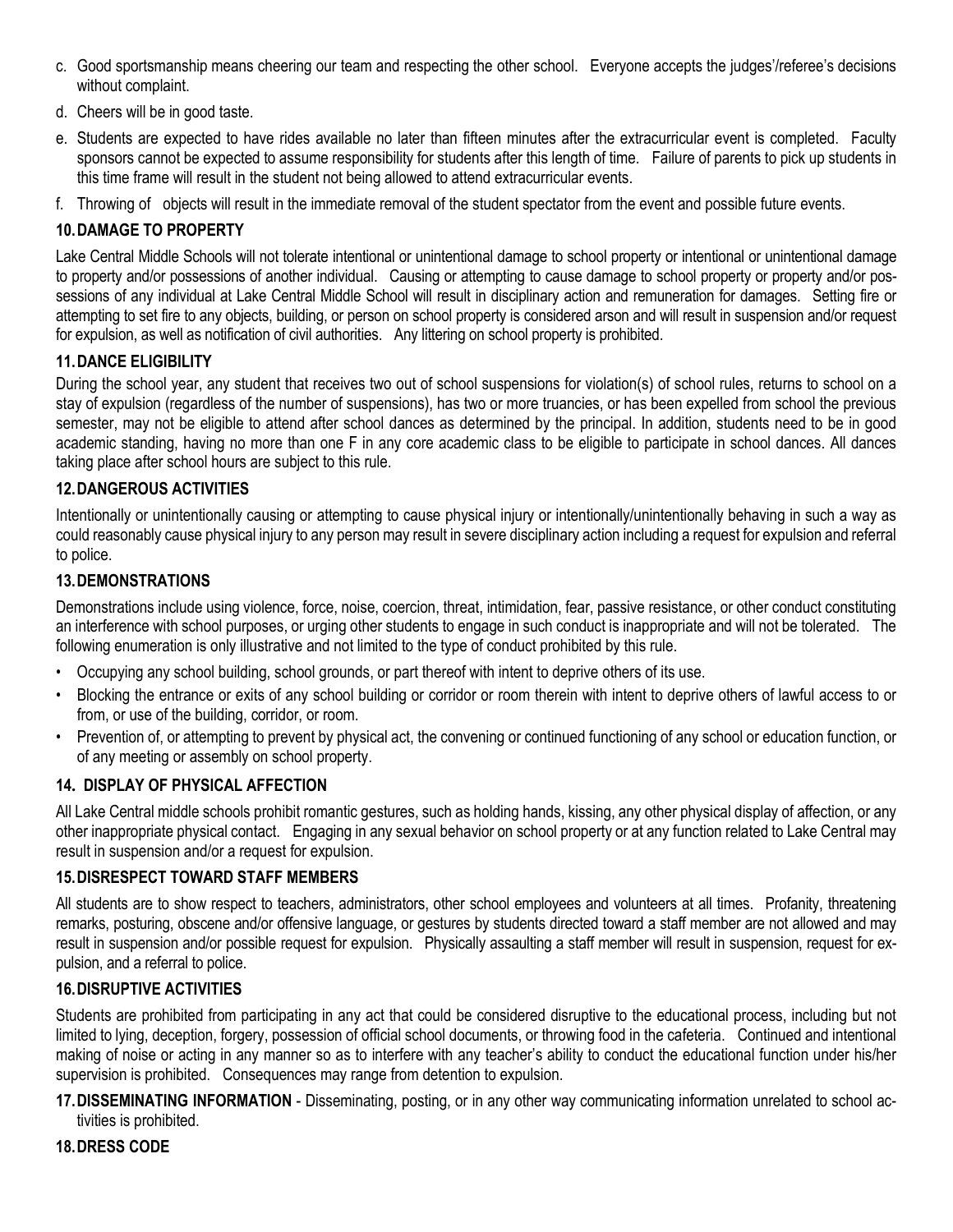- c. Good sportsmanship means cheering our team and respecting the other school. Everyone accepts the judges'/referee's decisions without complaint.
- d. Cheers will be in good taste.
- e. Students are expected to have rides available no later than fifteen minutes after the extracurricular event is completed. Faculty sponsors cannot be expected to assume responsibility for students after this length of time. Failure of parents to pick up students in this time frame will result in the student not being allowed to attend extracurricular events.
- f. Throwing of objects will result in the immediate removal of the student spectator from the event and possible future events.

#### **10.DAMAGE TO PROPERTY**

Lake Central Middle Schools will not tolerate intentional or unintentional damage to school property or intentional or unintentional damage to property and/or possessions of another individual. Causing or attempting to cause damage to school property or property and/or possessions of any individual at Lake Central Middle School will result in disciplinary action and remuneration for damages. Setting fire or attempting to set fire to any objects, building, or person on school property is considered arson and will result in suspension and/or request for expulsion, as well as notification of civil authorities. Any littering on school property is prohibited.

#### **11.DANCE ELIGIBILITY**

During the school year, any student that receives two out of school suspensions for violation(s) of school rules, returns to school on a stay of expulsion (regardless of the number of suspensions), has two or more truancies, or has been expelled from school the previous semester, may not be eligible to attend after school dances as determined by the principal. In addition, students need to be in good academic standing, having no more than one F in any core academic class to be eligible to participate in school dances. All dances taking place after school hours are subject to this rule.

#### **12.DANGEROUS ACTIVITIES**

Intentionally or unintentionally causing or attempting to cause physical injury or intentionally/unintentionally behaving in such a way as could reasonably cause physical injury to any person may result in severe disciplinary action including a request for expulsion and referral to police.

#### **13.DEMONSTRATIONS**

Demonstrations include using violence, force, noise, coercion, threat, intimidation, fear, passive resistance, or other conduct constituting an interference with school purposes, or urging other students to engage in such conduct is inappropriate and will not be tolerated. The following enumeration is only illustrative and not limited to the type of conduct prohibited by this rule.

- Occupying any school building, school grounds, or part thereof with intent to deprive others of its use.
- Blocking the entrance or exits of any school building or corridor or room therein with intent to deprive others of lawful access to or from, or use of the building, corridor, or room.
- Prevention of, or attempting to prevent by physical act, the convening or continued functioning of any school or education function, or of any meeting or assembly on school property.

#### **14. DISPLAY OF PHYSICAL AFFECTION**

All Lake Central middle schools prohibit romantic gestures, such as holding hands, kissing, any other physical display of affection, or any other inappropriate physical contact. Engaging in any sexual behavior on school property or at any function related to Lake Central may result in suspension and/or a request for expulsion.

#### **15.DISRESPECT TOWARD STAFF MEMBERS**

All students are to show respect to teachers, administrators, other school employees and volunteers at all times. Profanity, threatening remarks, posturing, obscene and/or offensive language, or gestures by students directed toward a staff member are not allowed and may result in suspension and/or possible request for expulsion. Physically assaulting a staff member will result in suspension, request for expulsion, and a referral to police.

#### **16.DISRUPTIVE ACTIVITIES**

Students are prohibited from participating in any act that could be considered disruptive to the educational process, including but not limited to lying, deception, forgery, possession of official school documents, or throwing food in the cafeteria. Continued and intentional making of noise or acting in any manner so as to interfere with any teacher's ability to conduct the educational function under his/her supervision is prohibited. Consequences may range from detention to expulsion.

**17.DISSEMINATING INFORMATION** - Disseminating, posting, or in any other way communicating information unrelated to school activities is prohibited.

**18.DRESS CODE**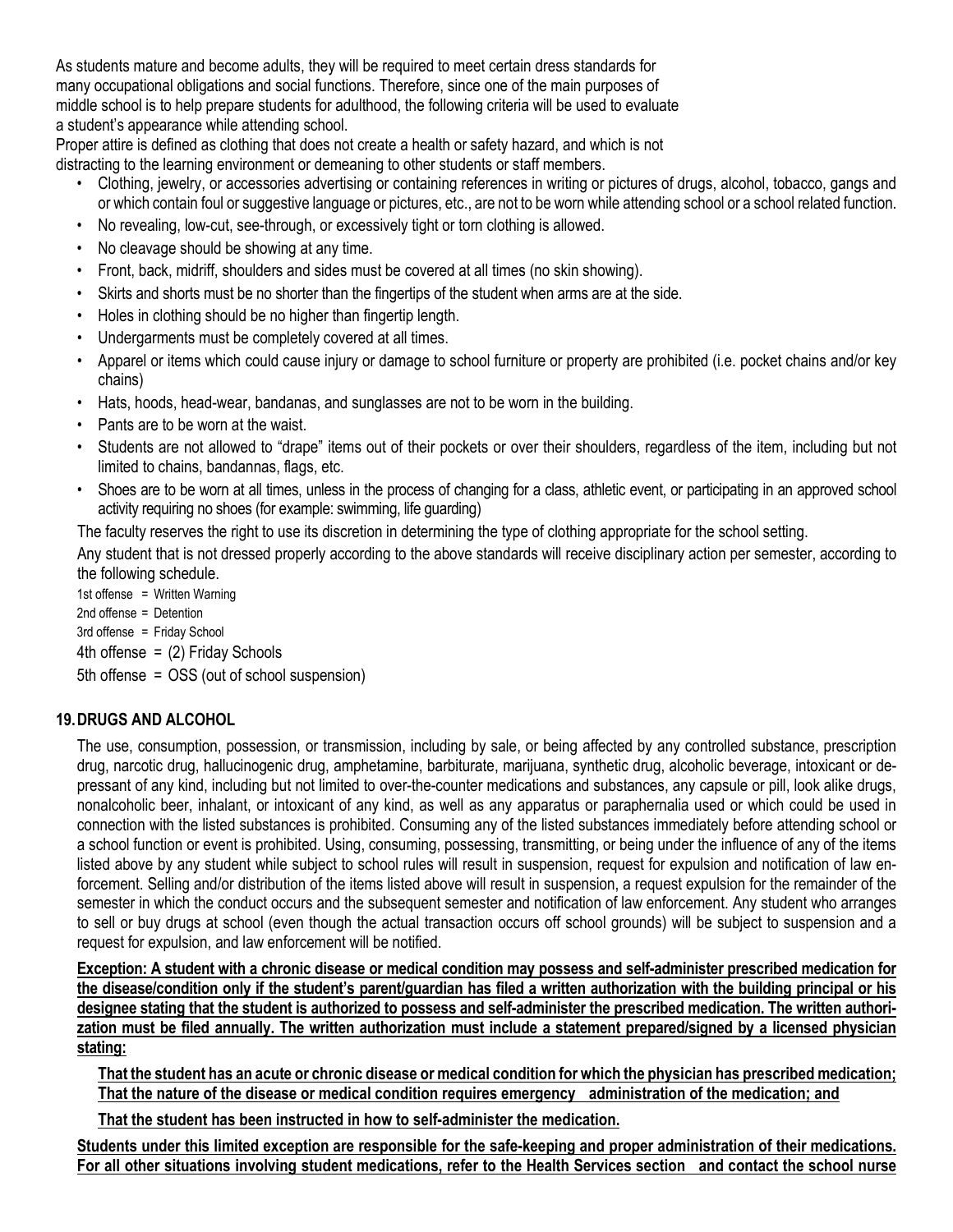As students mature and become adults, they will be required to meet certain dress standards for many occupational obligations and social functions. Therefore, since one of the main purposes of middle school is to help prepare students for adulthood, the following criteria will be used to evaluate a student's appearance while attending school.

Proper attire is defined as clothing that does not create a health or safety hazard, and which is not distracting to the learning environment or demeaning to other students or staff members.

- Clothing, jewelry, or accessories advertising or containing references in writing or pictures of drugs, alcohol, tobacco, gangs and or which contain foul or suggestive language or pictures, etc., are not to be worn while attending school or a school related function.
- No revealing, low-cut, see-through, or excessively tight or torn clothing is allowed.
- No cleavage should be showing at any time.
- Front, back, midriff, shoulders and sides must be covered at all times (no skin showing).
- Skirts and shorts must be no shorter than the fingertips of the student when arms are at the side.
- Holes in clothing should be no higher than fingertip length.
- Undergarments must be completely covered at all times.
- Apparel or items which could cause injury or damage to school furniture or property are prohibited (i.e. pocket chains and/or key chains)
- Hats, hoods, head-wear, bandanas, and sunglasses are not to be worn in the building.
- Pants are to be worn at the waist.
- Students are not allowed to "drape" items out of their pockets or over their shoulders, regardless of the item, including but not limited to chains, bandannas, flags, etc.
- Shoes are to be worn at all times, unless in the process of changing for a class, athletic event, or participating in an approved school activity requiring no shoes (for example: swimming, life guarding)

The faculty reserves the right to use its discretion in determining the type of clothing appropriate for the school setting.

Any student that is not dressed properly according to the above standards will receive disciplinary action per semester, according to the following schedule.

1st offense = Written Warning 2nd offense = Detention 3rd offense = Friday School 4th offense  $=$  (2) Friday Schools 5th offense = OSS (out of school suspension)

#### **19. DRUGS AND ALCOHOL**

The use, consumption, possession, or transmission, including by sale, or being affected by any controlled substance, prescription drug, narcotic drug, hallucinogenic drug, amphetamine, barbiturate, marijuana, synthetic drug, alcoholic beverage, intoxicant or depressant of any kind, including but not limited to over-the-counter medications and substances, any capsule or pill, look alike drugs, nonalcoholic beer, inhalant, or intoxicant of any kind, as well as any apparatus or paraphernalia used or which could be used in connection with the listed substances is prohibited. Consuming any of the listed substances immediately before attending school or a school function or event is prohibited. Using, consuming, possessing, transmitting, or being under the influence of any of the items listed above by any student while subject to school rules will result in suspension, request for expulsion and notification of law enforcement. Selling and/or distribution of the items listed above will result in suspension, a request expulsion for the remainder of the semester in which the conduct occurs and the subsequent semester and notification of law enforcement. Any student who arranges to sell or buy drugs at school (even though the actual transaction occurs off school grounds) will be subject to suspension and a request for expulsion, and law enforcement will be notified.

**Exception: A student with a chronic disease or medical condition may possess and self-administer prescribed medication for the disease/condition only if the student's parent/guardian has filed a written authorization with the building principal or his designee stating that the student is authorized to possess and self-administer the prescribed medication. The written authorization must be filed annually. The written authorization must include a statement prepared/signed by a licensed physician stating:**

**That the student has an acute or chronic disease or medical condition for which the physician has prescribed medication; That the nature of the disease or medical condition requires emergency administration of the medication; and**

**That the student has been instructed in how to self-administer the medication.**

**Students under this limited exception are responsible for the safe-keeping and proper administration of their medications. For all other situations involving student medications, refer to the Health Services section and contact the school nurse**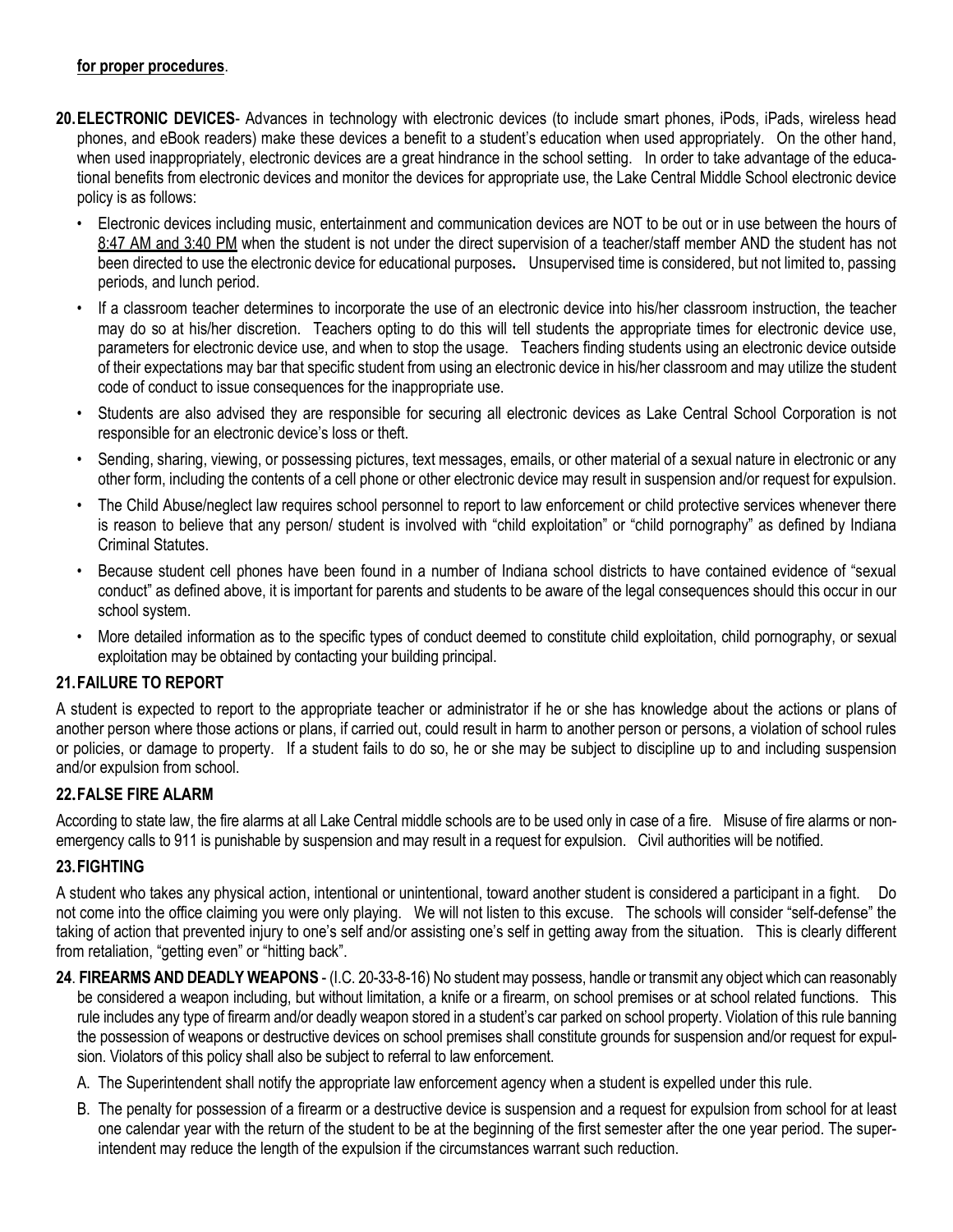#### **for proper procedures**.

- **20. ELECTRONIC DEVICES** Advances in technology with electronic devices (to include smart phones, iPods, iPads, wireless head phones, and eBook readers) make these devices a benefit to a student's education when used appropriately. On the other hand, when used inappropriately, electronic devices are a great hindrance in the school setting. In order to take advantage of the educational benefits from electronic devices and monitor the devices for appropriate use, the Lake Central Middle School electronic device policy is as follows:
	- Electronic devices including music, entertainment and communication devices are NOT to be out or in use between the hours of 8:47 AM and 3:40 PM when the student is not under the direct supervision of a teacher/staff member AND the student has not been directed to use the electronic device for educational purposes**.** Unsupervised time is considered, but not limited to, passing periods, and lunch period.
	- If a classroom teacher determines to incorporate the use of an electronic device into his/her classroom instruction, the teacher may do so at his/her discretion. Teachers opting to do this will tell students the appropriate times for electronic device use, parameters for electronic device use, and when to stop the usage. Teachers finding students using an electronic device outside of their expectations may bar that specific student from using an electronic device in his/her classroom and may utilize the student code of conduct to issue consequences for the inappropriate use.
	- Students are also advised they are responsible for securing all electronic devices as Lake Central School Corporation is not responsible for an electronic device's loss or theft.
	- Sending, sharing, viewing, or possessing pictures, text messages, emails, or other material of a sexual nature in electronic or any other form, including the contents of a cell phone or other electronic device may result in suspension and/or request for expulsion.
	- The Child Abuse/neglect law requires school personnel to report to law enforcement or child protective services whenever there is reason to believe that any person/ student is involved with "child exploitation" or "child pornography" as defined by Indiana Criminal Statutes.
	- Because student cell phones have been found in a number of Indiana school districts to have contained evidence of "sexual conduct" as defined above, it is important for parents and students to be aware of the legal consequences should this occur in our school system.
	- More detailed information as to the specific types of conduct deemed to constitute child exploitation, child pornography, or sexual exploitation may be obtained by contacting your building principal.

#### **21. FAILURE TO REPORT**

A student is expected to report to the appropriate teacher or administrator if he or she has knowledge about the actions or plans of another person where those actions or plans, if carried out, could result in harm to another person or persons, a violation of school rules or policies, or damage to property. If a student fails to do so, he or she may be subject to discipline up to and including suspension and/or expulsion from school.

#### **22. FALSE FIRE ALARM**

According to state law, the fire alarms at all Lake Central middle schools are to be used only in case of a fire. Misuse of fire alarms or nonemergency calls to 911 is punishable by suspension and may result in a request for expulsion. Civil authorities will be notified.

#### **23. FIGHTING**

A student who takes any physical action, intentional or unintentional, toward another student is considered a participant in a fight. Do not come into the office claiming you were only playing. We will not listen to this excuse. The schools will consider "self-defense" the taking of action that prevented injury to one's self and/or assisting one's self in getting away from the situation. This is clearly different from retaliation, "getting even" or "hitting back".

- **24**. **FIREARMS AND DEADLY WEAPONS** (I.C. 20-33-8-16) No student may possess, handle or transmit any object which can reasonably be considered a weapon including, but without limitation, a knife or a firearm, on school premises or at school related functions. This rule includes any type of firearm and/or deadly weapon stored in a student's car parked on school property. Violation of this rule banning the possession of weapons or destructive devices on school premises shall constitute grounds for suspension and/or request for expulsion. Violators of this policy shall also be subject to referral to law enforcement.
	- A. The Superintendent shall notify the appropriate law enforcement agency when a student is expelled under this rule.
	- B. The penalty for possession of a firearm or a destructive device is suspension and a request for expulsion from school for at least one calendar year with the return of the student to be at the beginning of the first semester after the one year period. The superintendent may reduce the length of the expulsion if the circumstances warrant such reduction.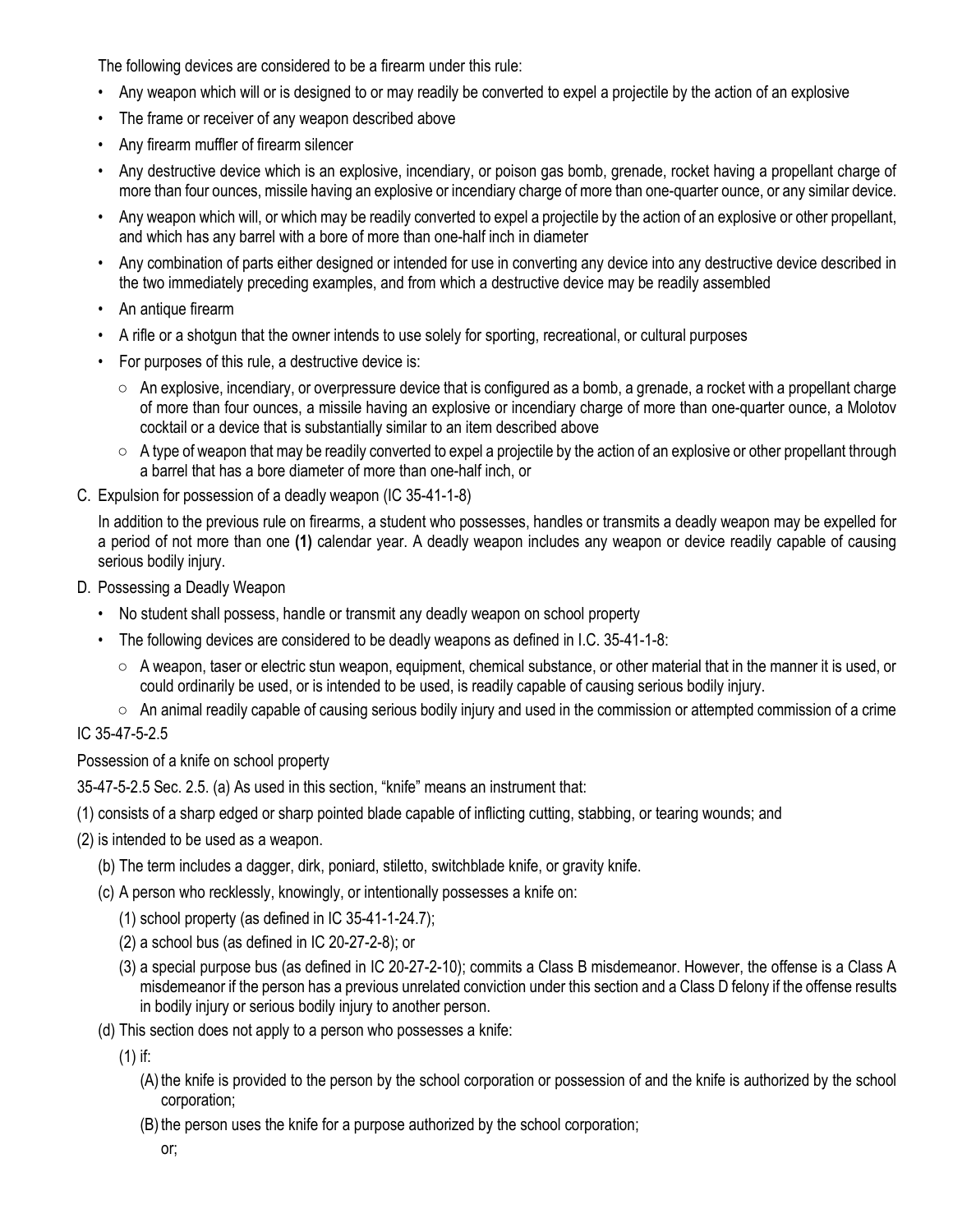The following devices are considered to be a firearm under this rule:

- Any weapon which will or is designed to or may readily be converted to expel a projectile by the action of an explosive
- The frame or receiver of any weapon described above
- Any firearm muffler of firearm silencer
- Any destructive device which is an explosive, incendiary, or poison gas bomb, grenade, rocket having a propellant charge of more than four ounces, missile having an explosive or incendiary charge of more than one-quarter ounce, or any similar device.
- Any weapon which will, or which may be readily converted to expel a projectile by the action of an explosive or other propellant, and which has any barrel with a bore of more than one-half inch in diameter
- Any combination of parts either designed or intended for use in converting any device into any destructive device described in the two immediately preceding examples, and from which a destructive device may be readily assembled
- An antique firearm
- A rifle or a shotgun that the owner intends to use solely for sporting, recreational, or cultural purposes
- For purposes of this rule, a destructive device is:
	- $\circ$  An explosive, incendiary, or overpressure device that is configured as a bomb, a grenade, a rocket with a propellant charge of more than four ounces, a missile having an explosive or incendiary charge of more than one-quarter ounce, a Molotov cocktail or a device that is substantially similar to an item described above
	- $\circ$  A type of weapon that may be readily converted to expel a projectile by the action of an explosive or other propellant through a barrel that has a bore diameter of more than one-half inch, or
- C. Expulsion for possession of a deadly weapon (IC 35-41-1-8)

In addition to the previous rule on firearms, a student who possesses, handles or transmits a deadly weapon may be expelled for a period of not more than one **(1)** calendar year. A deadly weapon includes any weapon or device readily capable of causing serious bodily injury.

- D. Possessing a Deadly Weapon
	- No student shall possess, handle or transmit any deadly weapon on school property
	- The following devices are considered to be deadly weapons as defined in I.C. 35-41-1-8:
		- A weapon, taser or electric stun weapon, equipment, chemical substance, or other material that in the manner it is used, or could ordinarily be used, or is intended to be used, is readily capable of causing serious bodily injury.
		- An animal readily capable of causing serious bodily injury and used in the commission or attempted commission of a crime

#### IC 35-47-5-2.5

Possession of a knife on school property

35-47-5-2.5 Sec. 2.5. (a) As used in this section, "knife" means an instrument that:

(1) consists of a sharp edged or sharp pointed blade capable of inflicting cutting, stabbing, or tearing wounds; and

- (2) is intended to be used as a weapon.
	- (b) The term includes a dagger, dirk, poniard, stiletto, switchblade knife, or gravity knife.
	- (c) A person who recklessly, knowingly, or intentionally possesses a knife on:
		- (1) school property (as defined in IC 35-41-1-24.7);
		- (2) a school bus (as defined in IC 20-27-2-8); or
		- (3) a special purpose bus (as defined in IC 20-27-2-10); commits a Class B misdemeanor. However, the offense is a Class A misdemeanor if the person has a previous unrelated conviction under this section and a Class D felony if the offense results in bodily injury or serious bodily injury to another person.
	- (d) This section does not apply to a person who possesses a knife:

(1) if:

- (A) the knife is provided to the person by the school corporation or possession of and the knife is authorized by the school corporation;
- (B) the person uses the knife for a purpose authorized by the school corporation;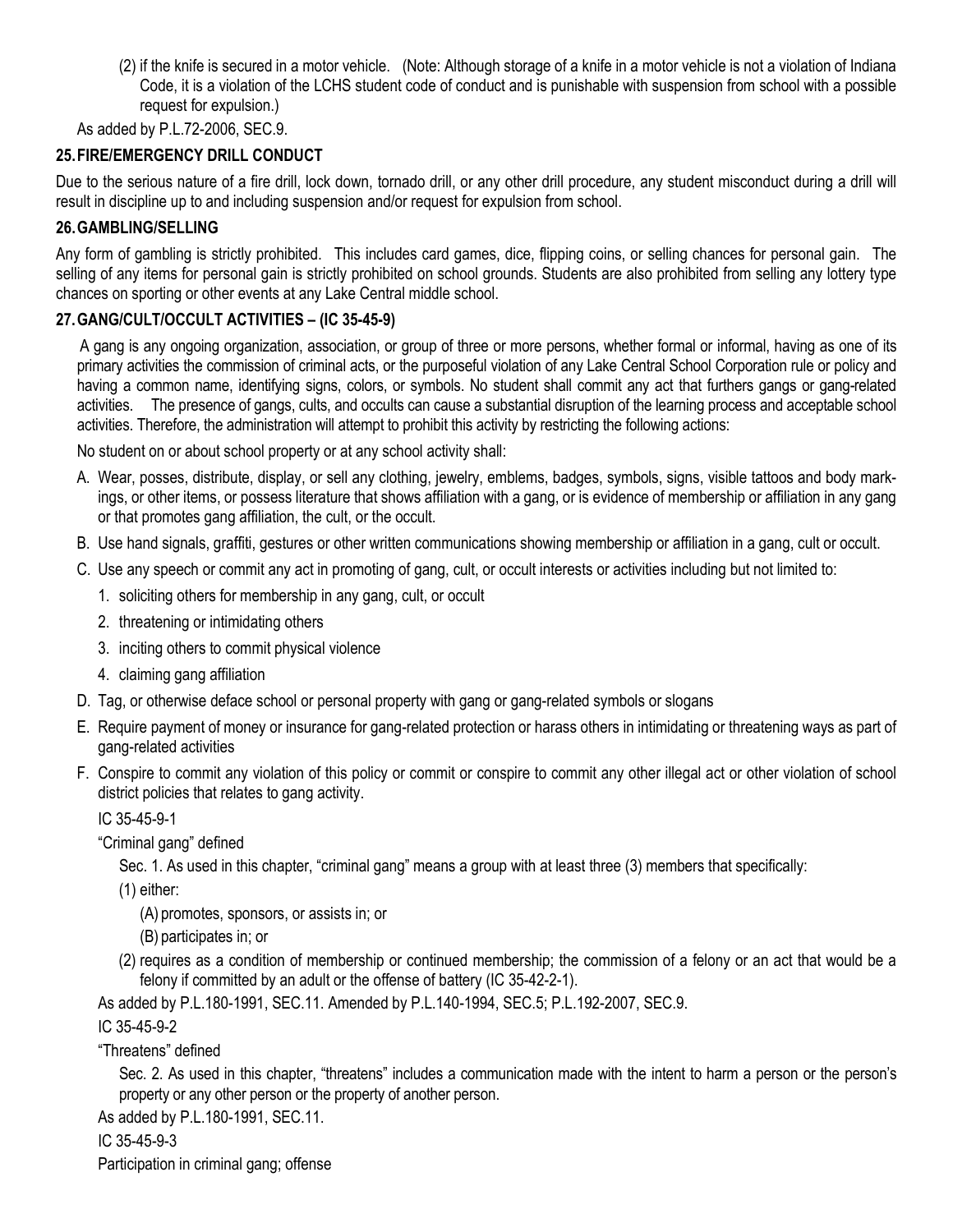(2) if the knife is secured in a motor vehicle. (Note: Although storage of a knife in a motor vehicle is not a violation of Indiana Code, it is a violation of the LCHS student code of conduct and is punishable with suspension from school with a possible request for expulsion.)

As added by P.L.72-2006, SEC.9.

#### **25.FIRE/EMERGENCY DRILL CONDUCT**

Due to the serious nature of a fire drill, lock down, tornado drill, or any other drill procedure, any student misconduct during a drill will result in discipline up to and including suspension and/or request for expulsion from school.

#### **26.GAMBLING/SELLING**

Any form of gambling is strictly prohibited. This includes card games, dice, flipping coins, or selling chances for personal gain. The selling of any items for personal gain is strictly prohibited on school grounds. Students are also prohibited from selling any lottery type chances on sporting or other events at any Lake Central middle school.

#### **27.GANG/CULT/OCCULT ACTIVITIES – (IC 35-45-9)**

 A gang is any ongoing organization, association, or group of three or more persons, whether formal or informal, having as one of its primary activities the commission of criminal acts, or the purposeful violation of any Lake Central School Corporation rule or policy and having a common name, identifying signs, colors, or symbols. No student shall commit any act that furthers gangs or gang-related activities. The presence of gangs, cults, and occults can cause a substantial disruption of the learning process and acceptable school activities. Therefore, the administration will attempt to prohibit this activity by restricting the following actions:

No student on or about school property or at any school activity shall:

- A. Wear, posses, distribute, display, or sell any clothing, jewelry, emblems, badges, symbols, signs, visible tattoos and body markings, or other items, or possess literature that shows affiliation with a gang, or is evidence of membership or affiliation in any gang or that promotes gang affiliation, the cult, or the occult.
- B. Use hand signals, graffiti, gestures or other written communications showing membership or affiliation in a gang, cult or occult.
- C. Use any speech or commit any act in promoting of gang, cult, or occult interests or activities including but not limited to:
	- 1. soliciting others for membership in any gang, cult, or occult
	- 2. threatening or intimidating others
	- 3. inciting others to commit physical violence
	- 4. claiming gang affiliation
- D. Tag, or otherwise deface school or personal property with gang or gang-related symbols or slogans
- E. Require payment of money or insurance for gang-related protection or harass others in intimidating or threatening ways as part of gang-related activities
- F. Conspire to commit any violation of this policy or commit or conspire to commit any other illegal act or other violation of school district policies that relates to gang activity.

IC 35-45-9-1

"Criminal gang" defined

Sec. 1. As used in this chapter, "criminal gang" means a group with at least three (3) members that specifically:

(1) either:

(A) promotes, sponsors, or assists in; or

(B) participates in; or

(2) requires as a condition of membership or continued membership; the commission of a felony or an act that would be a felony if committed by an adult or the offense of battery (IC 35-42-2-1).

As added by P.L.180-1991, SEC.11. Amended by P.L.140-1994, SEC.5; P.L.192-2007, SEC.9.

#### IC 35-45-9-2

"Threatens" defined

Sec. 2. As used in this chapter, "threatens" includes a communication made with the intent to harm a person or the person's property or any other person or the property of another person.

As added by P.L.180-1991, SEC.11.

IC 35-45-9-3

Participation in criminal gang; offense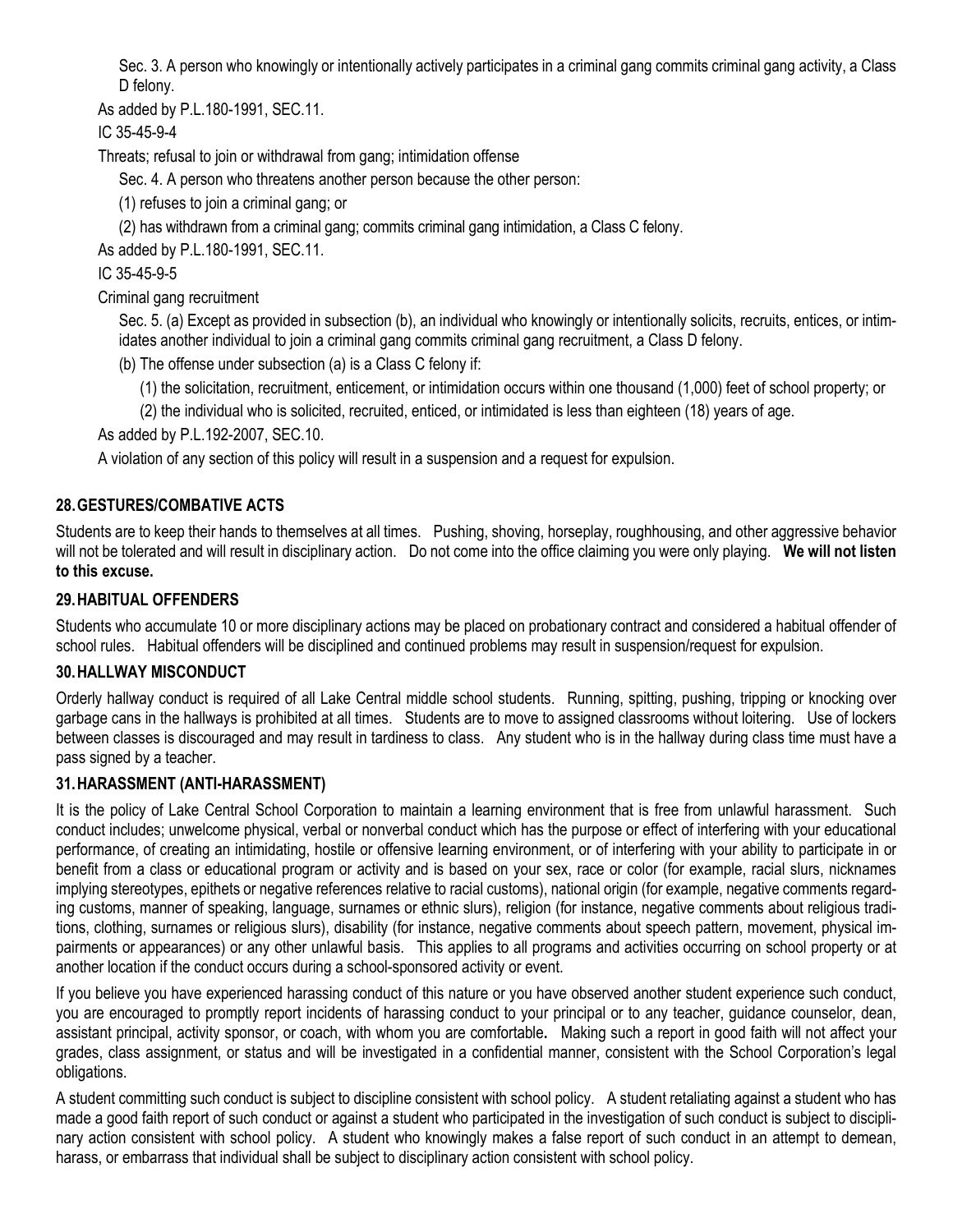Sec. 3. A person who knowingly or intentionally actively participates in a criminal gang commits criminal gang activity, a Class D felony.

As added by P.L.180-1991, SEC.11.

IC 35-45-9-4

Threats; refusal to join or withdrawal from gang; intimidation offense

Sec. 4. A person who threatens another person because the other person:

(1) refuses to join a criminal gang; or

(2) has withdrawn from a criminal gang; commits criminal gang intimidation, a Class C felony.

As added by P.L.180-1991, SEC.11.

IC 35-45-9-5

Criminal gang recruitment

Sec. 5. (a) Except as provided in subsection (b), an individual who knowingly or intentionally solicits, recruits, entices, or intimidates another individual to join a criminal gang commits criminal gang recruitment, a Class D felony.

(b) The offense under subsection (a) is a Class C felony if:

(1) the solicitation, recruitment, enticement, or intimidation occurs within one thousand (1,000) feet of school property; or

(2) the individual who is solicited, recruited, enticed, or intimidated is less than eighteen (18) years of age.

As added by P.L.192-2007, SEC.10.

A violation of any section of this policy will result in a suspension and a request for expulsion.

#### **28.GESTURES/COMBATIVE ACTS**

Students are to keep their hands to themselves at all times. Pushing, shoving, horseplay, roughhousing, and other aggressive behavior will not be tolerated and will result in disciplinary action. Do not come into the office claiming you were only playing. **We will not listen to this excuse.**

#### **29.HABITUAL OFFENDERS**

Students who accumulate 10 or more disciplinary actions may be placed on probationary contract and considered a habitual offender of school rules. Habitual offenders will be disciplined and continued problems may result in suspension/request for expulsion.

#### **30.HALLWAY MISCONDUCT**

Orderly hallway conduct is required of all Lake Central middle school students. Running, spitting, pushing, tripping or knocking over garbage cans in the hallways is prohibited at all times. Students are to move to assigned classrooms without loitering. Use of lockers between classes is discouraged and may result in tardiness to class. Any student who is in the hallway during class time must have a pass signed by a teacher.

#### **31.HARASSMENT (ANTI-HARASSMENT)**

It is the policy of Lake Central School Corporation to maintain a learning environment that is free from unlawful harassment. Such conduct includes; unwelcome physical, verbal or nonverbal conduct which has the purpose or effect of interfering with your educational performance, of creating an intimidating, hostile or offensive learning environment, or of interfering with your ability to participate in or benefit from a class or educational program or activity and is based on your sex, race or color (for example, racial slurs, nicknames implying stereotypes, epithets or negative references relative to racial customs), national origin (for example, negative comments regarding customs, manner of speaking, language, surnames or ethnic slurs), religion (for instance, negative comments about religious traditions, clothing, surnames or religious slurs), disability (for instance, negative comments about speech pattern, movement, physical impairments or appearances) or any other unlawful basis. This applies to all programs and activities occurring on school property or at another location if the conduct occurs during a school-sponsored activity or event.

If you believe you have experienced harassing conduct of this nature or you have observed another student experience such conduct, you are encouraged to promptly report incidents of harassing conduct to your principal or to any teacher, guidance counselor, dean, assistant principal, activity sponsor, or coach, with whom you are comfortable**.** Making such a report in good faith will not affect your grades, class assignment, or status and will be investigated in a confidential manner, consistent with the School Corporation's legal obligations.

A student committing such conduct is subject to discipline consistent with school policy. A student retaliating against a student who has made a good faith report of such conduct or against a student who participated in the investigation of such conduct is subject to disciplinary action consistent with school policy. A student who knowingly makes a false report of such conduct in an attempt to demean, harass, or embarrass that individual shall be subject to disciplinary action consistent with school policy.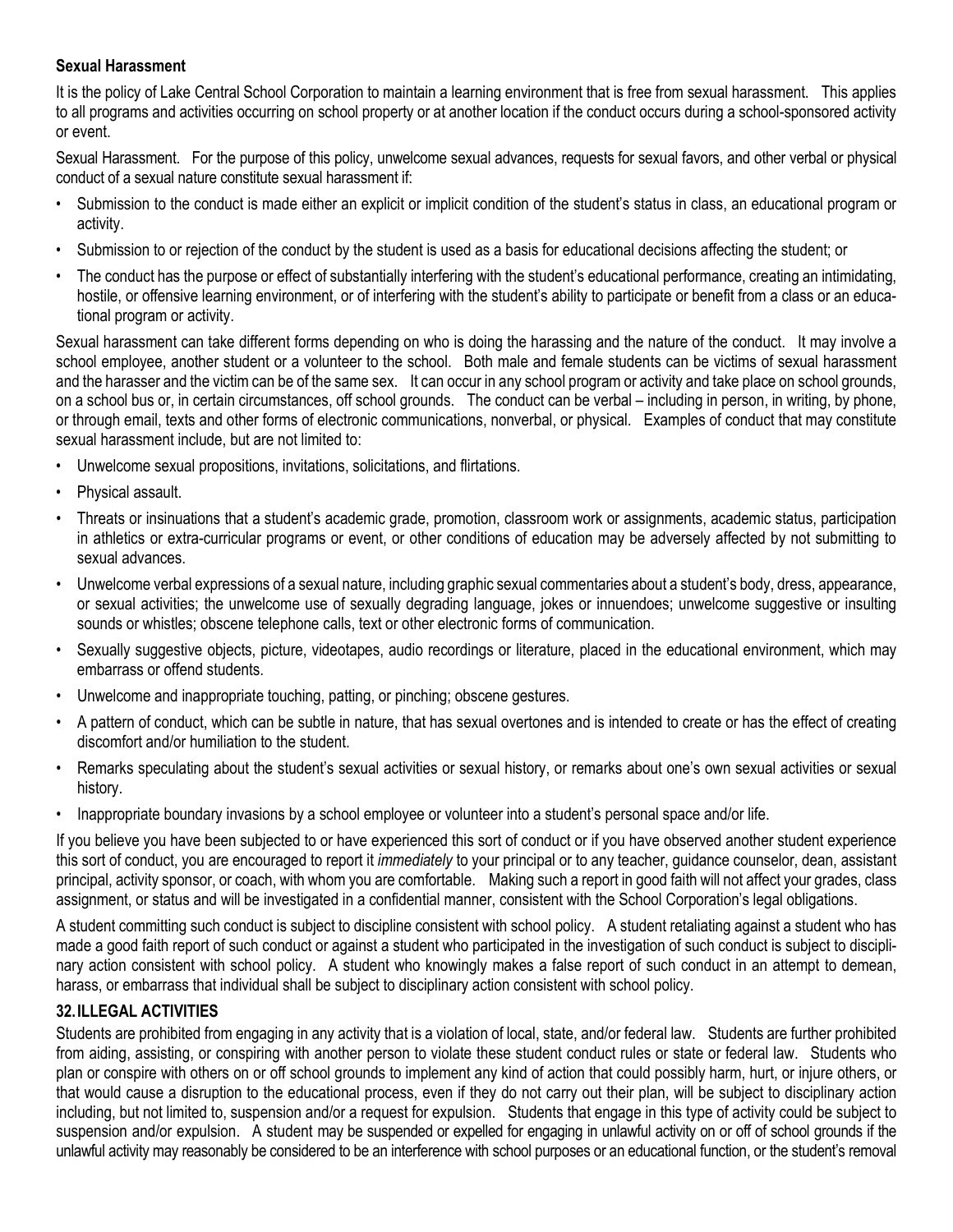#### **Sexual Harassment**

It is the policy of Lake Central School Corporation to maintain a learning environment that is free from sexual harassment. This applies to all programs and activities occurring on school property or at another location if the conduct occurs during a school-sponsored activity or event.

Sexual Harassment. For the purpose of this policy, unwelcome sexual advances, requests for sexual favors, and other verbal or physical conduct of a sexual nature constitute sexual harassment if:

- Submission to the conduct is made either an explicit or implicit condition of the student's status in class, an educational program or activity.
- Submission to or rejection of the conduct by the student is used as a basis for educational decisions affecting the student; or
- The conduct has the purpose or effect of substantially interfering with the student's educational performance, creating an intimidating, hostile, or offensive learning environment, or of interfering with the student's ability to participate or benefit from a class or an educational program or activity.

Sexual harassment can take different forms depending on who is doing the harassing and the nature of the conduct. It may involve a school employee, another student or a volunteer to the school. Both male and female students can be victims of sexual harassment and the harasser and the victim can be of the same sex. It can occur in any school program or activity and take place on school grounds, on a school bus or, in certain circumstances, off school grounds. The conduct can be verbal – including in person, in writing, by phone, or through email, texts and other forms of electronic communications, nonverbal, or physical. Examples of conduct that may constitute sexual harassment include, but are not limited to:

- Unwelcome sexual propositions, invitations, solicitations, and flirtations.
- Physical assault.
- Threats or insinuations that a student's academic grade, promotion, classroom work or assignments, academic status, participation in athletics or extra-curricular programs or event, or other conditions of education may be adversely affected by not submitting to sexual advances.
- Unwelcome verbal expressions of a sexual nature, including graphic sexual commentaries about a student's body, dress, appearance, or sexual activities; the unwelcome use of sexually degrading language, jokes or innuendoes; unwelcome suggestive or insulting sounds or whistles; obscene telephone calls, text or other electronic forms of communication.
- Sexually suggestive objects, picture, videotapes, audio recordings or literature, placed in the educational environment, which may embarrass or offend students.
- Unwelcome and inappropriate touching, patting, or pinching; obscene gestures.
- A pattern of conduct, which can be subtle in nature, that has sexual overtones and is intended to create or has the effect of creating discomfort and/or humiliation to the student.
- Remarks speculating about the student's sexual activities or sexual history, or remarks about one's own sexual activities or sexual history.
- Inappropriate boundary invasions by a school employee or volunteer into a student's personal space and/or life.

If you believe you have been subjected to or have experienced this sort of conduct or if you have observed another student experience this sort of conduct, you are encouraged to report it *immediately* to your principal or to any teacher, guidance counselor, dean, assistant principal, activity sponsor, or coach, with whom you are comfortable.Making such a report in good faith will not affect your grades, class assignment, or status and will be investigated in a confidential manner, consistent with the School Corporation's legal obligations.

A student committing such conduct is subject to discipline consistent with school policy. A student retaliating against a student who has made a good faith report of such conduct or against a student who participated in the investigation of such conduct is subject to disciplinary action consistent with school policy. A student who knowingly makes a false report of such conduct in an attempt to demean, harass, or embarrass that individual shall be subject to disciplinary action consistent with school policy.

#### **32.ILLEGAL ACTIVITIES**

Students are prohibited from engaging in any activity that is a violation of local, state, and/or federal law. Students are further prohibited from aiding, assisting, or conspiring with another person to violate these student conduct rules or state or federal law. Students who plan or conspire with others on or off school grounds to implement any kind of action that could possibly harm, hurt, or injure others, or that would cause a disruption to the educational process, even if they do not carry out their plan, will be subject to disciplinary action including, but not limited to, suspension and/or a request for expulsion. Students that engage in this type of activity could be subject to suspension and/or expulsion. A student may be suspended or expelled for engaging in unlawful activity on or off of school grounds if the unlawful activity may reasonably be considered to be an interference with school purposes or an educational function, or the student's removal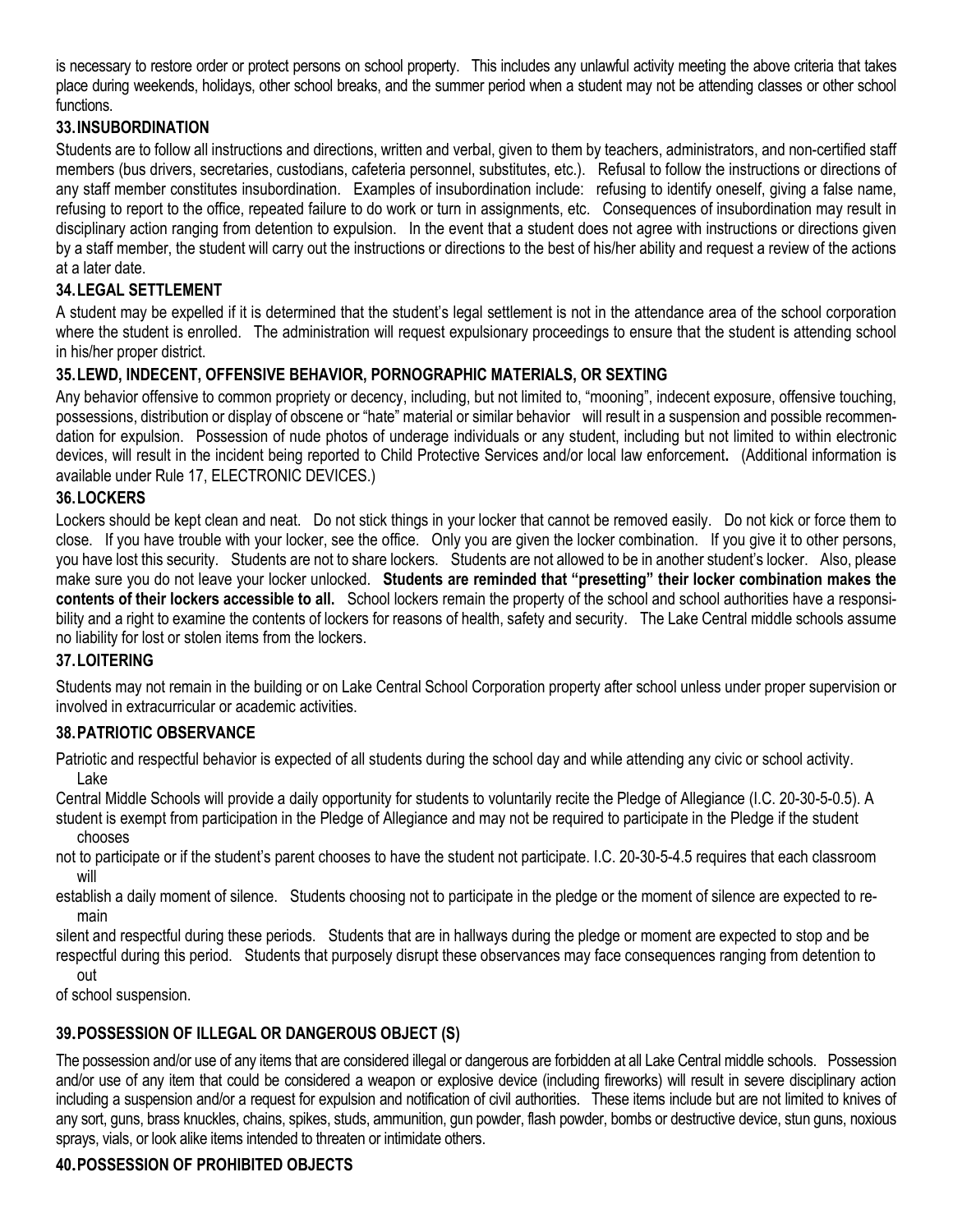is necessary to restore order or protect persons on school property. This includes any unlawful activity meeting the above criteria that takes place during weekends, holidays, other school breaks, and the summer period when a student may not be attending classes or other school functions.

#### **33.INSUBORDINATION**

Students are to follow all instructions and directions, written and verbal, given to them by teachers, administrators, and non-certified staff members (bus drivers, secretaries, custodians, cafeteria personnel, substitutes, etc.). Refusal to follow the instructions or directions of any staff member constitutes insubordination. Examples of insubordination include: refusing to identify oneself, giving a false name, refusing to report to the office, repeated failure to do work or turn in assignments, etc. Consequences of insubordination may result in disciplinary action ranging from detention to expulsion. In the event that a student does not agree with instructions or directions given by a staff member, the student will carry out the instructions or directions to the best of his/her ability and request a review of the actions at a later date.

#### **34.LEGAL SETTLEMENT**

A student may be expelled if it is determined that the student's legal settlement is not in the attendance area of the school corporation where the student is enrolled. The administration will request expulsionary proceedings to ensure that the student is attending school in his/her proper district.

#### **35.LEWD, INDECENT, OFFENSIVE BEHAVIOR, PORNOGRAPHIC MATERIALS, OR SEXTING**

Any behavior offensive to common propriety or decency, including, but not limited to, "mooning", indecent exposure, offensive touching, possessions, distribution or display of obscene or "hate" material or similar behavior will result in a suspension and possible recommendation for expulsion. Possession of nude photos of underage individuals or any student, including but not limited to within electronic devices, will result in the incident being reported to Child Protective Services and/or local law enforcement**.** (Additional information is available under Rule 17, ELECTRONIC DEVICES.)

#### **36.LOCKERS**

Lockers should be kept clean and neat. Do not stick things in your locker that cannot be removed easily. Do not kick or force them to close. If you have trouble with your locker, see the office. Only you are given the locker combination. If you give it to other persons, you have lost this security. Students are not to share lockers. Students are not allowed to be in another student's locker. Also, please make sure you do not leave your locker unlocked. **Students are reminded that "presetting" their locker combination makes the contents of their lockers accessible to all.** School lockers remain the property of the school and school authorities have a responsibility and a right to examine the contents of lockers for reasons of health, safety and security. The Lake Central middle schools assume no liability for lost or stolen items from the lockers.

#### **37.LOITERING**

Students may not remain in the building or on Lake Central School Corporation property after school unless under proper supervision or involved in extracurricular or academic activities.

#### **38.PATRIOTIC OBSERVANCE**

Patriotic and respectful behavior is expected of all students during the school day and while attending any civic or school activity. Lake

Central Middle Schools will provide a daily opportunity for students to voluntarily recite the Pledge of Allegiance (I.C. 20-30-5-0.5). A student is exempt from participation in the Pledge of Allegiance and may not be required to participate in the Pledge if the student

chooses

not to participate or if the student's parent chooses to have the student not participate. I.C. 20-30-5-4.5 requires that each classroom will

establish a daily moment of silence. Students choosing not to participate in the pledge or the moment of silence are expected to remain

silent and respectful during these periods. Students that are in hallways during the pledge or moment are expected to stop and be respectful during this period. Students that purposely disrupt these observances may face consequences ranging from detention to

out

of school suspension.

#### **39.POSSESSION OF ILLEGAL OR DANGEROUS OBJECT (S)**

The possession and/or use of any items that are considered illegal or dangerous are forbidden at all Lake Central middle schools. Possession and/or use of any item that could be considered a weapon or explosive device (including fireworks) will result in severe disciplinary action including a suspension and/or a request for expulsion and notification of civil authorities. These items include but are not limited to knives of any sort, guns, brass knuckles, chains, spikes, studs, ammunition, gun powder, flash powder, bombs or destructive device, stun guns, noxious sprays, vials, or look alike items intended to threaten or intimidate others.

#### **40.POSSESSION OF PROHIBITED OBJECTS**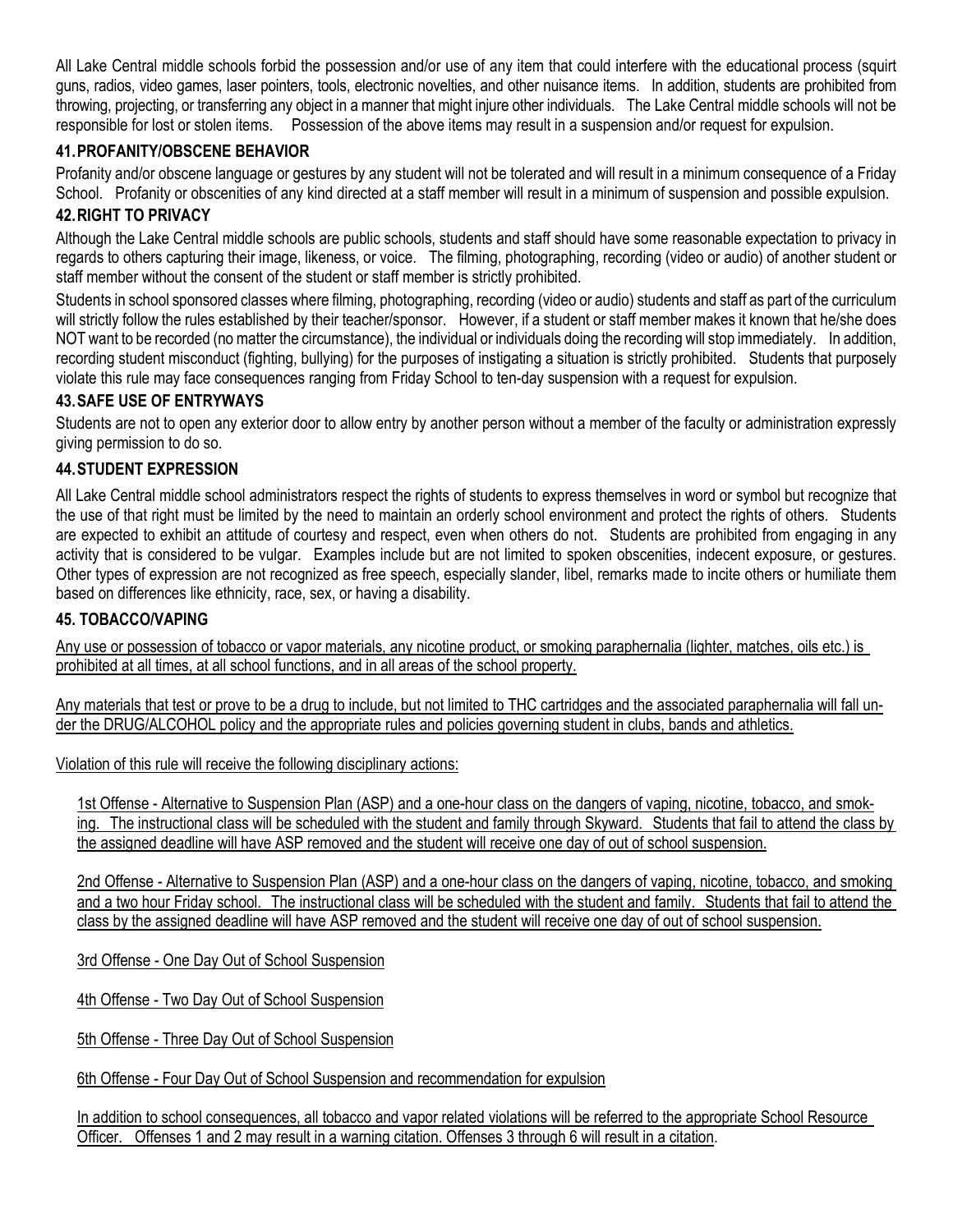All Lake Central middle schools forbid the possession and/or use of any item that could interfere with the educational process (squirt guns, radios, video games, laser pointers, tools, electronic novelties, and other nuisance items. In addition, students are prohibited from throwing, projecting, or transferring any object in a manner that might injure other individuals. The Lake Central middle schools will not be responsible for lost or stolen items. Possession of the above items may result in a suspension and/or request for expulsion.

#### **41. PROFANITY/OBSCENE BEHAVIOR**

Profanity and/or obscene language or gestures by any student will not be tolerated and will result in a minimum consequence of a Friday School. Profanity or obscenities of any kind directed at a staff member will result in a minimum of suspension and possible expulsion.

#### **42.RIGHT TO PRIVACY**

Although the Lake Central middle schools are public schools, students and staff should have some reasonable expectation to privacy in regards to others capturing their image, likeness, or voice. The filming, photographing, recording (video or audio) of another student or staff member without the consent of the student or staff member is strictly prohibited.

Students in school sponsored classes where filming, photographing, recording (video or audio) students and staff as part of the curriculum will strictly follow the rules established by their teacher/sponsor. However, if a student or staff member makes it known that he/she does NOT want to be recorded (no matter the circumstance), the individual or individuals doing the recording will stop immediately. In addition, recording student misconduct (fighting, bullying) for the purposes of instigating a situation is strictly prohibited. Students that purposely violate this rule may face consequences ranging from Friday School to ten-day suspension with a request for expulsion.

#### **43. SAFE USE OF ENTRYWAYS**

Students are not to open any exterior door to allow entry by another person without a member of the faculty or administration expressly giving permission to do so.

#### **44. STUDENT EXPRESSION**

All Lake Central middle school administrators respect the rights of students to express themselves in word or symbol but recognize that the use of that right must be limited by the need to maintain an orderly school environment and protect the rights of others. Students are expected to exhibit an attitude of courtesy and respect, even when others do not. Students are prohibited from engaging in any activity that is considered to be vulgar. Examples include but are not limited to spoken obscenities, indecent exposure, or gestures. Other types of expression are not recognized as free speech, especially slander, libel, remarks made to incite others or humiliate them based on differences like ethnicity, race, sex, or having a disability.

#### **45. TOBACCO/VAPING**

Any use or possession of tobacco or vapor materials, any nicotine product, or smoking paraphernalia (lighter, matches, oils etc.) is prohibited at all times, at all school functions, and in all areas of the school property.

Any materials that test or prove to be a drug to include, but not limited to THC cartridges and the associated paraphernalia will fall under the DRUG/ALCOHOL policy and the appropriate rules and policies governing student in clubs, bands and athletics.

Violation of this rule will receive the following disciplinary actions:

1st Offense - Alternative to Suspension Plan (ASP) and a one-hour class on the dangers of vaping, nicotine, tobacco, and smoking. The instructional class will be scheduled with the student and family through Skyward. Students that fail to attend the class by the assigned deadline will have ASP removed and the student will receive one day of out of school suspension.

2nd Offense - Alternative to Suspension Plan (ASP) and a one-hour class on the dangers of vaping, nicotine, tobacco, and smoking and a two hour Friday school. The instructional class will be scheduled with the student and family. Students that fail to attend the class by the assigned deadline will have ASP removed and the student will receive one day of out of school suspension.

3rd Offense - One Day Out of School Suspension

4th Offense - Two Day Out of School Suspension

5th Offense - Three Day Out of School Suspension

6th Offense - Four Day Out of School Suspension and recommendation for expulsion

In addition to school consequences, all tobacco and vapor related violations will be referred to the appropriate School Resource Officer. Offenses 1 and 2 may result in a warning citation. Offenses 3 through 6 will result in a citation.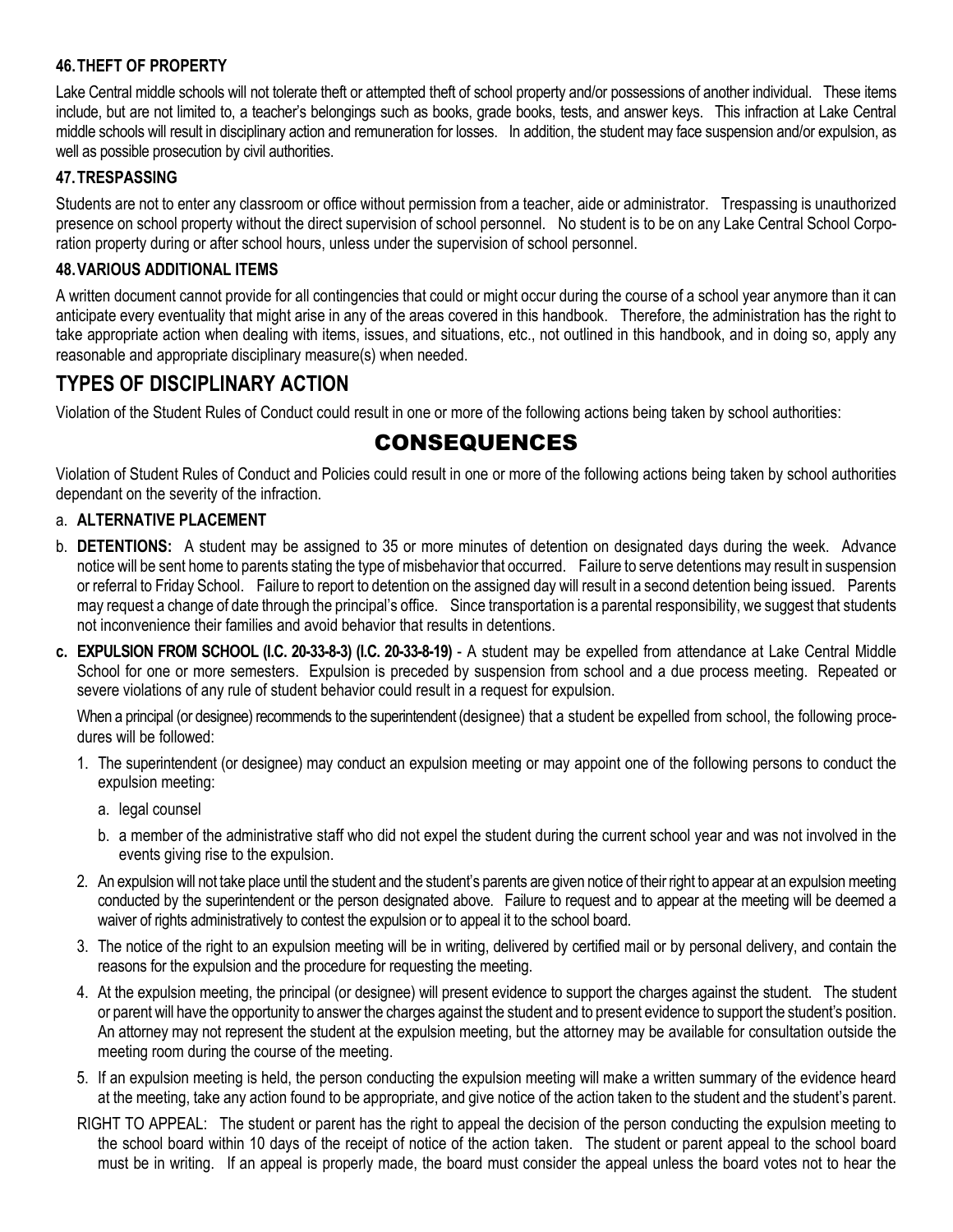#### **46.THEFT OF PROPERTY**

Lake Central middle schools will not tolerate theft or attempted theft of school property and/or possessions of another individual. These items include, but are not limited to, a teacher's belongings such as books, grade books, tests, and answer keys. This infraction at Lake Central middle schools will result in disciplinary action and remuneration for losses. In addition, the student may face suspension and/or expulsion, as well as possible prosecution by civil authorities.

#### **47.TRESPASSING**

Students are not to enter any classroom or office without permission from a teacher, aide or administrator. Trespassing is unauthorized presence on school property without the direct supervision of school personnel. No student is to be on any Lake Central School Corporation property during or after school hours, unless under the supervision of school personnel.

#### **48.VARIOUS ADDITIONAL ITEMS**

A written document cannot provide for all contingencies that could or might occur during the course of a school year anymore than it can anticipate every eventuality that might arise in any of the areas covered in this handbook. Therefore, the administration has the right to take appropriate action when dealing with items, issues, and situations, etc., not outlined in this handbook, and in doing so, apply any reasonable and appropriate disciplinary measure(s) when needed.

## **TYPES OF DISCIPLINARY ACTION**

Violation of the Student Rules of Conduct could result in one or more of the following actions being taken by school authorities:

## CONSEQUENCES

Violation of Student Rules of Conduct and Policies could result in one or more of the following actions being taken by school authorities dependant on the severity of the infraction.

#### a. **ALTERNATIVE PLACEMENT**

- b. **DETENTIONS:** A student may be assigned to 35 or more minutes of detention on designated days during the week. Advance notice will be sent home to parents stating the type of misbehavior that occurred. Failure to serve detentions may result in suspension or referral to Friday School. Failure to report to detention on the assigned day will result in a second detention being issued. Parents may request a change of date through the principal's office. Since transportation is a parental responsibility, we suggest that students not inconvenience their families and avoid behavior that results in detentions.
- **c. EXPULSION FROM SCHOOL (I.C. 20-33-8-3) (I.C. 20-33-8-19)** A student may be expelled from attendance at Lake Central Middle School for one or more semesters. Expulsion is preceded by suspension from school and a due process meeting. Repeated or severe violations of any rule of student behavior could result in a request for expulsion.

When a principal (or designee) recommends to the superintendent (designee) that a student be expelled from school, the following procedures will be followed:

- 1. The superintendent (or designee) may conduct an expulsion meeting or may appoint one of the following persons to conduct the expulsion meeting:
	- a. legal counsel
	- b. a member of the administrative staff who did not expel the student during the current school year and was not involved in the events giving rise to the expulsion.
- 2. An expulsion will not take place until the student and the student's parents are given notice of their right to appear at an expulsion meeting conducted by the superintendent or the person designated above. Failure to request and to appear at the meeting will be deemed a waiver of rights administratively to contest the expulsion or to appeal it to the school board.
- 3. The notice of the right to an expulsion meeting will be in writing, delivered by certified mail or by personal delivery, and contain the reasons for the expulsion and the procedure for requesting the meeting.
- 4. At the expulsion meeting, the principal (or designee) will present evidence to support the charges against the student. The student or parent will have the opportunity to answer the charges against the student and to present evidence to support the student's position. An attorney may not represent the student at the expulsion meeting, but the attorney may be available for consultation outside the meeting room during the course of the meeting.
- 5. If an expulsion meeting is held, the person conducting the expulsion meeting will make a written summary of the evidence heard at the meeting, take any action found to be appropriate, and give notice of the action taken to the student and the student's parent.
- RIGHT TO APPEAL: The student or parent has the right to appeal the decision of the person conducting the expulsion meeting to the school board within 10 days of the receipt of notice of the action taken. The student or parent appeal to the school board must be in writing. If an appeal is properly made, the board must consider the appeal unless the board votes not to hear the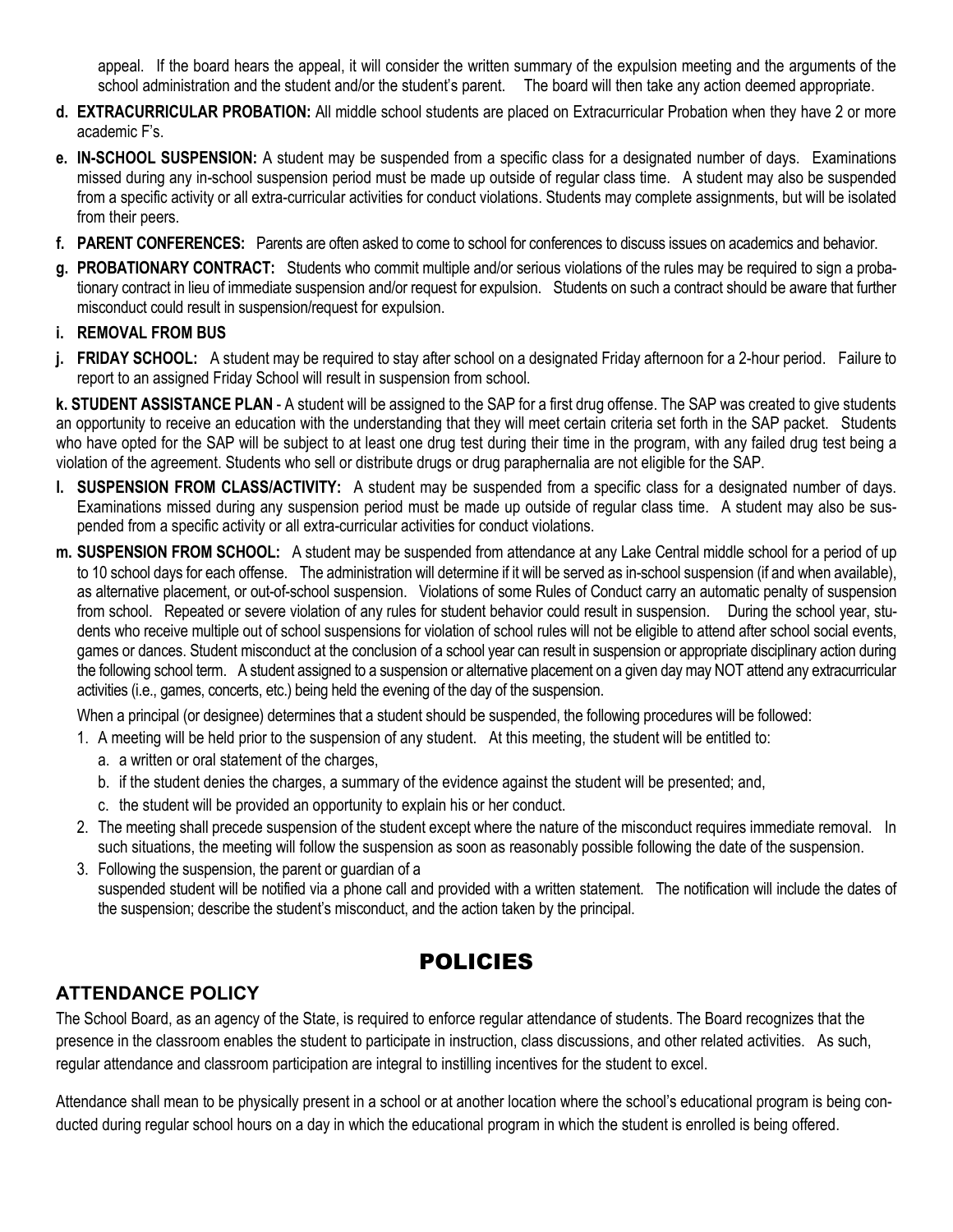appeal. If the board hears the appeal, it will consider the written summary of the expulsion meeting and the arguments of the school administration and the student and/or the student's parent. The board will then take any action deemed appropriate.

- **d. EXTRACURRICULAR PROBATION:** All middle school students are placed on Extracurricular Probation when they have 2 or more academic F's.
- **e. IN-SCHOOL SUSPENSION:** A student may be suspended from a specific class for a designated number of days. Examinations missed during any in-school suspension period must be made up outside of regular class time. A student may also be suspended from a specific activity or all extra-curricular activities for conduct violations. Students may complete assignments, but will be isolated from their peers.
- **f. PARENT CONFERENCES:** Parents are often asked to come to school for conferences to discuss issues on academics and behavior.
- **g. PROBATIONARY CONTRACT:** Students who commit multiple and/or serious violations of the rules may be required to sign a probationary contract in lieu of immediate suspension and/or request for expulsion. Students on such a contract should be aware that further misconduct could result in suspension/request for expulsion.

#### **i. REMOVAL FROM BUS**

**j. FRIDAY SCHOOL:** A student may be required to stay after school on a designated Friday afternoon for a 2-hour period. Failure to report to an assigned Friday School will result in suspension from school.

**k. STUDENT ASSISTANCE PLAN** - A student will be assigned to the SAP for a first drug offense. The SAP was created to give students an opportunity to receive an education with the understanding that they will meet certain criteria set forth in the SAP packet. Students who have opted for the SAP will be subject to at least one drug test during their time in the program, with any failed drug test being a violation of the agreement. Students who sell or distribute drugs or drug paraphernalia are not eligible for the SAP.

- **l. SUSPENSION FROM CLASS/ACTIVITY:** A student may be suspended from a specific class for a designated number of days. Examinations missed during any suspension period must be made up outside of regular class time. A student may also be suspended from a specific activity or all extra-curricular activities for conduct violations.
- **m. SUSPENSION FROM SCHOOL:** A student may be suspended from attendance at any Lake Central middle school for a period of up to 10 school days for each offense. The administration will determine if it will be served as in-school suspension (if and when available), as alternative placement, or out-of-school suspension. Violations of some Rules of Conduct carry an automatic penalty of suspension from school. Repeated or severe violation of any rules for student behavior could result in suspension. During the school year, students who receive multiple out of school suspensions for violation of school rules will not be eligible to attend after school social events, games or dances. Student misconduct at the conclusion of a school year can result in suspension or appropriate disciplinary action during the following school term. A student assigned to a suspension or alternative placement on a given day may NOT attend any extracurricular activities (i.e., games, concerts, etc.) being held the evening of the day of the suspension.

When a principal (or designee) determines that a student should be suspended, the following procedures will be followed:

- 1. A meeting will be held prior to the suspension of any student. At this meeting, the student will be entitled to:
	- a. a written or oral statement of the charges,
	- b. if the student denies the charges, a summary of the evidence against the student will be presented; and,
	- c. the student will be provided an opportunity to explain his or her conduct.
- 2. The meeting shall precede suspension of the student except where the nature of the misconduct requires immediate removal. In such situations, the meeting will follow the suspension as soon as reasonably possible following the date of the suspension.
- 3. Following the suspension, the parent or guardian of a suspended student will be notified via a phone call and provided with a written statement. The notification will include the dates of the suspension; describe the student's misconduct, and the action taken by the principal.

## POLICIES

## **ATTENDANCE POLICY**

The School Board, as an agency of the State, is required to enforce regular attendance of students. The Board recognizes that the presence in the classroom enables the student to participate in instruction, class discussions, and other related activities. As such, regular attendance and classroom participation are integral to instilling incentives for the student to excel.

Attendance shall mean to be physically present in a school or at another location where the school's educational program is being conducted during regular school hours on a day in which the educational program in which the student is enrolled is being offered.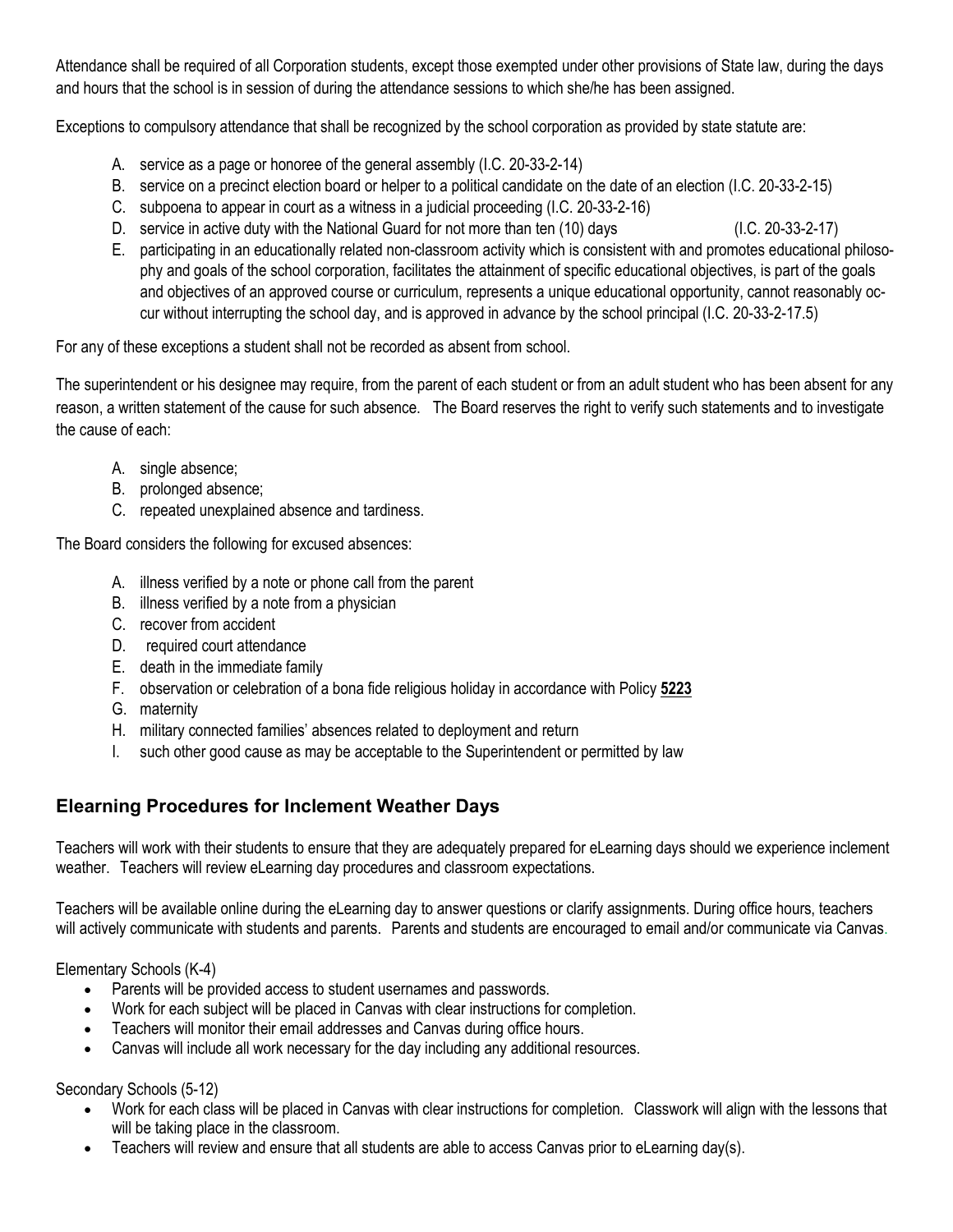Attendance shall be required of all Corporation students, except those exempted under other provisions of State law, during the days and hours that the school is in session of during the attendance sessions to which she/he has been assigned.

Exceptions to compulsory attendance that shall be recognized by the school corporation as provided by state statute are:

- A. service as a page or honoree of the general assembly (I.C. 20-33-2-14)
- B. service on a precinct election board or helper to a political candidate on the date of an election (I.C. 20-33-2-15)
- C. subpoena to appear in court as a witness in a judicial proceeding (I.C. 20-33-2-16)
- D. service in active duty with the National Guard for not more than ten (10) days (I.C. 20-33-2-17)
	-
- E. participating in an educationally related non-classroom activity which is consistent with and promotes educational philosophy and goals of the school corporation, facilitates the attainment of specific educational objectives, is part of the goals and objectives of an approved course or curriculum, represents a unique educational opportunity, cannot reasonably occur without interrupting the school day, and is approved in advance by the school principal (I.C. 20-33-2-17.5)

For any of these exceptions a student shall not be recorded as absent from school.

The superintendent or his designee may require, from the parent of each student or from an adult student who has been absent for any reason, a written statement of the cause for such absence. The Board reserves the right to verify such statements and to investigate the cause of each:

- A. single absence;
- B. prolonged absence;
- C. repeated unexplained absence and tardiness.

The Board considers the following for excused absences:

- A. illness verified by a note or phone call from the parent
- B. illness verified by a note from a physician
- C. recover from accident
- D. required court attendance
- E. death in the immediate family
- F. observation or celebration of a bona fide religious holiday in accordance with Policy **5223**
- G. maternity
- H. military connected families' absences related to deployment and return
- I. such other good cause as may be acceptable to the Superintendent or permitted by law

## **Elearning Procedures for Inclement Weather Days**

Teachers will work with their students to ensure that they are adequately prepared for eLearning days should we experience inclement weather. Teachers will review eLearning day procedures and classroom expectations.

Teachers will be available online during the eLearning day to answer questions or clarify assignments. During office hours, teachers will actively communicate with students and parents. Parents and students are encouraged to email and/or communicate via Canvas.

Elementary Schools (K-4)

- Parents will be provided access to student usernames and passwords.
- Work for each subject will be placed in Canvas with clear instructions for completion.
- Teachers will monitor their email addresses and Canvas during office hours.
- Canvas will include all work necessary for the day including any additional resources.

Secondary Schools (5-12)

- Work for each class will be placed in Canvas with clear instructions for completion. Classwork will align with the lessons that will be taking place in the classroom.
- Teachers will review and ensure that all students are able to access Canvas prior to eLearning day(s).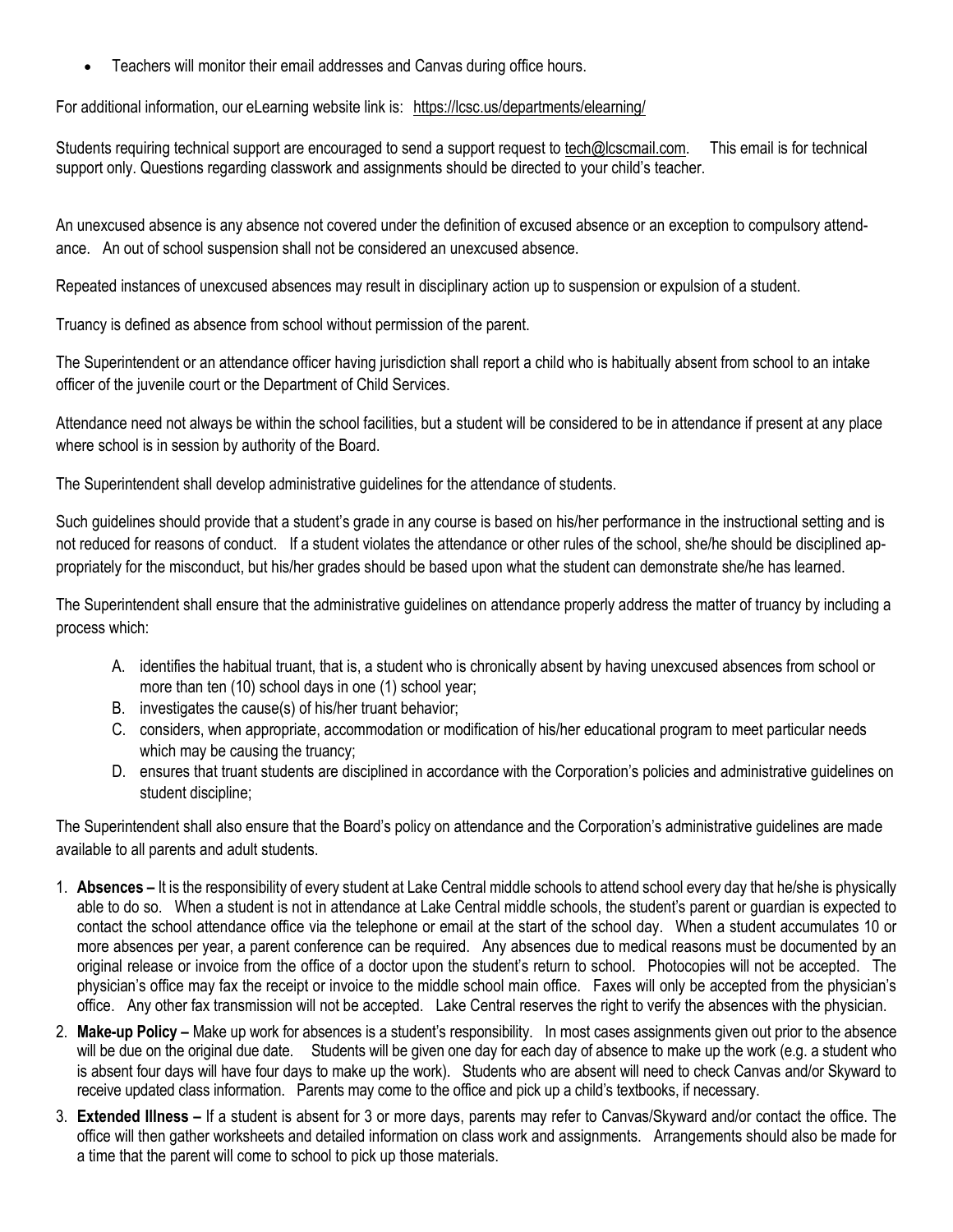• Teachers will monitor their email addresses and Canvas during office hours.

For additional information, our eLearning website link is: <https://lcsc.us/departments/elearning/>

Students requiring technical support are encouraged to send a support request to [tech@lcscmail.com.](mailto:tech@lcscmail.com) This email is for technical support only. Questions regarding classwork and assignments should be directed to your child's teacher.

An unexcused absence is any absence not covered under the definition of excused absence or an exception to compulsory attendance. An out of school suspension shall not be considered an unexcused absence.

Repeated instances of unexcused absences may result in disciplinary action up to suspension or expulsion of a student.

Truancy is defined as absence from school without permission of the parent.

The Superintendent or an attendance officer having jurisdiction shall report a child who is habitually absent from school to an intake officer of the juvenile court or the Department of Child Services.

Attendance need not always be within the school facilities, but a student will be considered to be in attendance if present at any place where school is in session by authority of the Board.

The Superintendent shall develop administrative guidelines for the attendance of students.

Such guidelines should provide that a student's grade in any course is based on his/her performance in the instructional setting and is not reduced for reasons of conduct. If a student violates the attendance or other rules of the school, she/he should be disciplined appropriately for the misconduct, but his/her grades should be based upon what the student can demonstrate she/he has learned.

The Superintendent shall ensure that the administrative guidelines on attendance properly address the matter of truancy by including a process which:

- A. identifies the habitual truant, that is, a student who is chronically absent by having unexcused absences from school or more than ten (10) school days in one (1) school year;
- B. investigates the cause(s) of his/her truant behavior;
- C. considers, when appropriate, accommodation or modification of his/her educational program to meet particular needs which may be causing the truancy;
- D. ensures that truant students are disciplined in accordance with the Corporation's policies and administrative guidelines on student discipline;

The Superintendent shall also ensure that the Board's policy on attendance and the Corporation's administrative guidelines are made available to all parents and adult students.

- 1. **Absences** It is the responsibility of every student at Lake Central middle schools to attend school every day that he/she is physically able to do so. When a student is not in attendance at Lake Central middle schools, the student's parent or guardian is expected to contact the school attendance office via the telephone or email at the start of the school day. When a student accumulates 10 or more absences per year, a parent conference can be required. Any absences due to medical reasons must be documented by an original release or invoice from the office of a doctor upon the student's return to school. Photocopies will not be accepted. The physician's office may fax the receipt or invoice to the middle school main office. Faxes will only be accepted from the physician's office. Any other fax transmission will not be accepted. Lake Central reserves the right to verify the absences with the physician.
- 2. **Make-up Policy** Make up work for absences is a student's responsibility. In most cases assignments given out prior to the absence will be due on the original due date. Students will be given one day for each day of absence to make up the work (e.g. a student who is absent four days will have four days to make up the work). Students who are absent will need to check Canvas and/or Skyward to receive updated class information. Parents may come to the office and pick up a child's textbooks, if necessary.
- 3. **Extended Illness** If a student is absent for 3 or more days, parents may refer to Canvas/Skyward and/or contact the office. The office will then gather worksheets and detailed information on class work and assignments. Arrangements should also be made for a time that the parent will come to school to pick up those materials.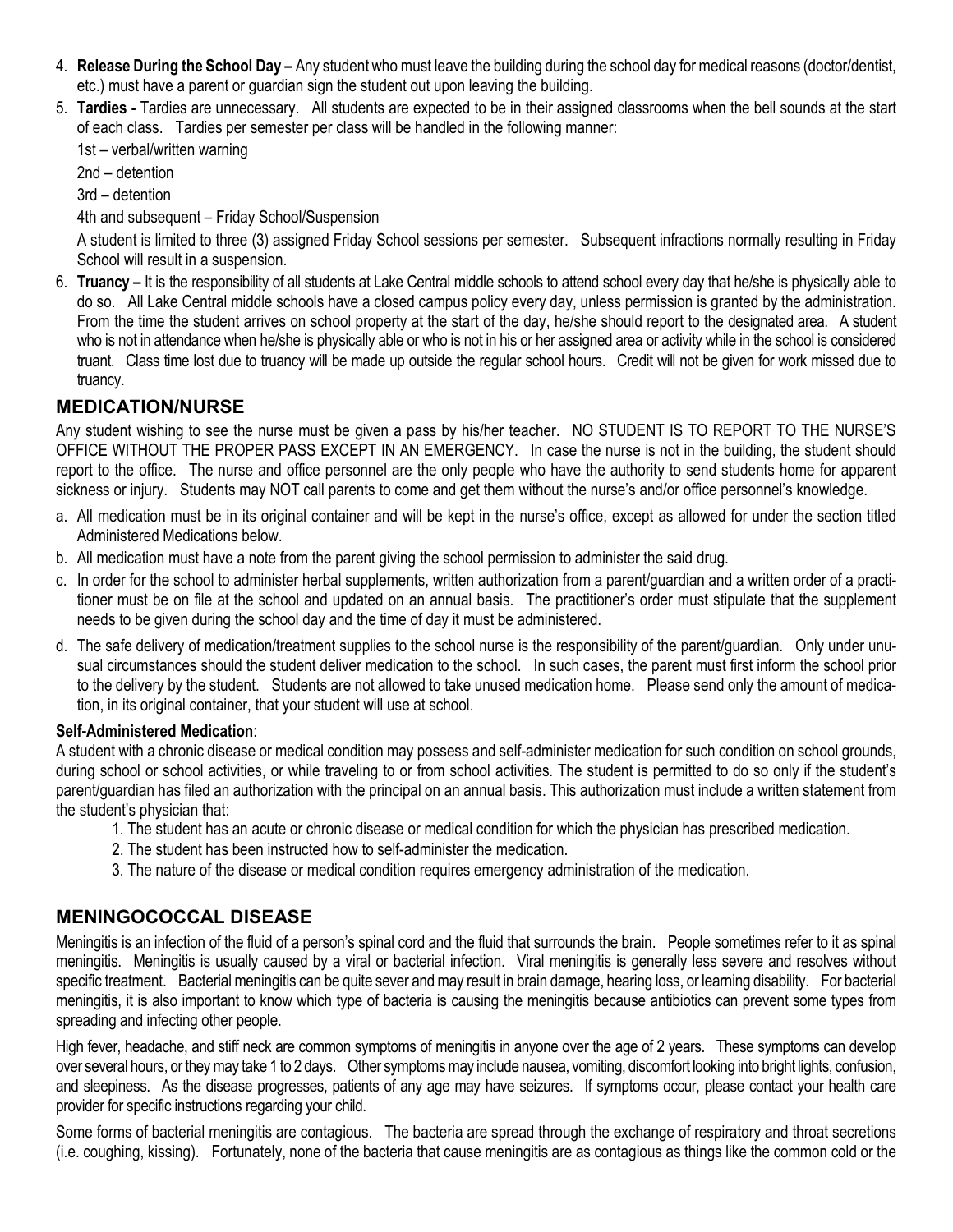- 4. **Release During the School Day –** Any student who must leave the building during the school day for medical reasons (doctor/dentist, etc.) must have a parent or guardian sign the student out upon leaving the building.
- 5. **Tardies -** Tardies are unnecessary. All students are expected to be in their assigned classrooms when the bell sounds at the start of each class. Tardies per semester per class will be handled in the following manner:

1st – verbal/written warning

2nd – detention

3rd – detention

4th and subsequent – Friday School/Suspension

A student is limited to three (3) assigned Friday School sessions per semester. Subsequent infractions normally resulting in Friday School will result in a suspension.

6. **Truancy –** It is the responsibility of all students at Lake Central middle schools to attend school every day that he/she is physically able to do so. All Lake Central middle schools have a closed campus policy every day, unless permission is granted by the administration. From the time the student arrives on school property at the start of the day, he/she should report to the designated area. A student who is not in attendance when he/she is physically able or who is not in his or her assigned area or activity while in the school is considered truant. Class time lost due to truancy will be made up outside the regular school hours. Credit will not be given for work missed due to truancy.

## **MEDICATION/NURSE**

Any student wishing to see the nurse must be given a pass by his/her teacher. NO STUDENT IS TO REPORT TO THE NURSE'S OFFICE WITHOUT THE PROPER PASS EXCEPT IN AN EMERGENCY. In case the nurse is not in the building, the student should report to the office. The nurse and office personnel are the only people who have the authority to send students home for apparent sickness or injury. Students may NOT call parents to come and get them without the nurse's and/or office personnel's knowledge.

- a. All medication must be in its original container and will be kept in the nurse's office, except as allowed for under the section titled Administered Medications below.
- b. All medication must have a note from the parent giving the school permission to administer the said drug.
- c. In order for the school to administer herbal supplements, written authorization from a parent/guardian and a written order of a practitioner must be on file at the school and updated on an annual basis. The practitioner's order must stipulate that the supplement needs to be given during the school day and the time of day it must be administered.
- d. The safe delivery of medication/treatment supplies to the school nurse is the responsibility of the parent/guardian. Only under unusual circumstances should the student deliver medication to the school. In such cases, the parent must first inform the school prior to the delivery by the student. Students are not allowed to take unused medication home. Please send only the amount of medication, in its original container, that your student will use at school.

#### **Self-Administered Medication**:

A student with a chronic disease or medical condition may possess and self-administer medication for such condition on school grounds, during school or school activities, or while traveling to or from school activities. The student is permitted to do so only if the student's parent/guardian has filed an authorization with the principal on an annual basis. This authorization must include a written statement from the student's physician that:

- 1. The student has an acute or chronic disease or medical condition for which the physician has prescribed medication.
- 2. The student has been instructed how to self-administer the medication.
- 3. The nature of the disease or medical condition requires emergency administration of the medication.

## **MENINGOCOCCAL DISEASE**

Meningitis is an infection of the fluid of a person's spinal cord and the fluid that surrounds the brain. People sometimes refer to it as spinal meningitis. Meningitis is usually caused by a viral or bacterial infection. Viral meningitis is generally less severe and resolves without specific treatment. Bacterial meningitis can be quite sever and may result in brain damage, hearing loss, or learning disability. For bacterial meningitis, it is also important to know which type of bacteria is causing the meningitis because antibiotics can prevent some types from spreading and infecting other people.

High fever, headache, and stiff neck are common symptoms of meningitis in anyone over the age of 2 years. These symptoms can develop over several hours, or they may take 1 to 2 days. Other symptoms may include nausea, vomiting, discomfort looking into bright lights, confusion, and sleepiness. As the disease progresses, patients of any age may have seizures. If symptoms occur, please contact your health care provider for specific instructions regarding your child.

Some forms of bacterial meningitis are contagious. The bacteria are spread through the exchange of respiratory and throat secretions (i.e. coughing, kissing). Fortunately, none of the bacteria that cause meningitis are as contagious as things like the common cold or the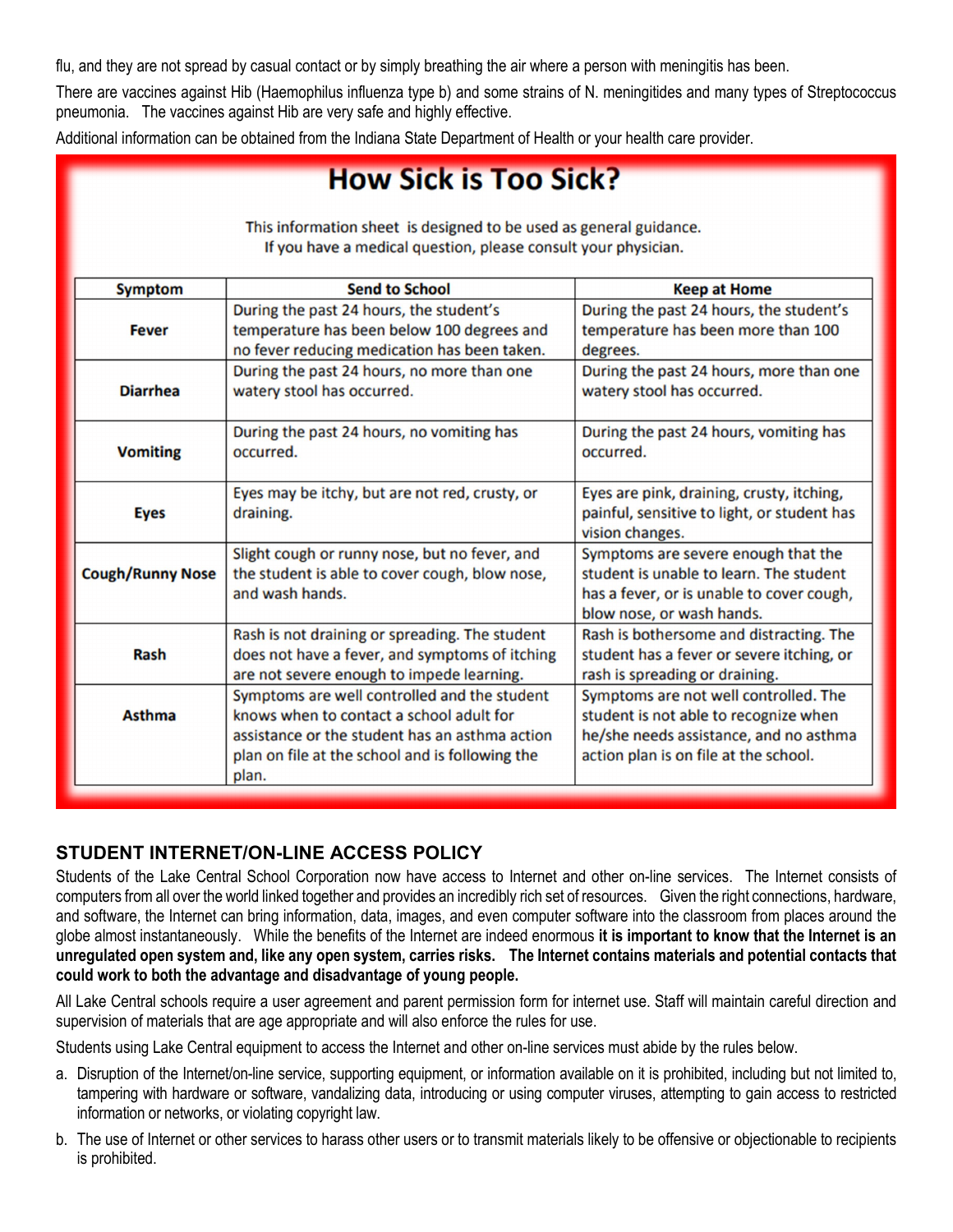flu, and they are not spread by casual contact or by simply breathing the air where a person with meningitis has been.

There are vaccines against Hib (Haemophilus influenza type b) and some strains of N. meningitides and many types of Streptococcus pneumonia. The vaccines against Hib are very safe and highly effective.

Additional information can be obtained from the Indiana State Department of Health or your health care provider.

# **How Sick is Too Sick?**

| <b>Symptom</b>          | <b>Send to School</b>                                                                                                                                                                                  | <b>Keep at Home</b>                                                                                                                                               |
|-------------------------|--------------------------------------------------------------------------------------------------------------------------------------------------------------------------------------------------------|-------------------------------------------------------------------------------------------------------------------------------------------------------------------|
| <b>Fever</b>            | During the past 24 hours, the student's<br>temperature has been below 100 degrees and<br>no fever reducing medication has been taken.                                                                  | During the past 24 hours, the student's<br>temperature has been more than 100<br>degrees.                                                                         |
| <b>Diarrhea</b>         | During the past 24 hours, no more than one<br>watery stool has occurred.                                                                                                                               | During the past 24 hours, more than one<br>watery stool has occurred.                                                                                             |
| <b>Vomiting</b>         | During the past 24 hours, no vomiting has<br>occurred.                                                                                                                                                 | During the past 24 hours, vomiting has<br>occurred.                                                                                                               |
| <b>Eyes</b>             | Eyes may be itchy, but are not red, crusty, or<br>draining.                                                                                                                                            | Eyes are pink, draining, crusty, itching,<br>painful, sensitive to light, or student has<br>vision changes.                                                       |
| <b>Cough/Runny Nose</b> | Slight cough or runny nose, but no fever, and<br>the student is able to cover cough, blow nose,<br>and wash hands.                                                                                     | Symptoms are severe enough that the<br>student is unable to learn. The student<br>has a fever, or is unable to cover cough,<br>blow nose, or wash hands.          |
| Rash                    | Rash is not draining or spreading. The student<br>does not have a fever, and symptoms of itching<br>are not severe enough to impede learning.                                                          | Rash is bothersome and distracting. The<br>student has a fever or severe itching, or<br>rash is spreading or draining.                                            |
| <b>Asthma</b>           | Symptoms are well controlled and the student<br>knows when to contact a school adult for<br>assistance or the student has an asthma action<br>plan on file at the school and is following the<br>plan. | Symptoms are not well controlled. The<br>student is not able to recognize when<br>he/she needs assistance, and no asthma<br>action plan is on file at the school. |

This information sheet is designed to be used as general guidance. If you have a medical question, please consult your physician.

#### **STUDENT INTERNET/ON-LINE ACCESS POLICY**

Students of the Lake Central School Corporation now have access to Internet and other on-line services. The Internet consists of computers from all over the world linked together and provides an incredibly rich set of resources. Given the right connections, hardware, and software, the Internet can bring information, data, images, and even computer software into the classroom from places around the globe almost instantaneously. While the benefits of the Internet are indeed enormous **it is important to know that the Internet is an unregulated open system and, like any open system, carries risks. The Internet contains materials and potential contacts that could work to both the advantage and disadvantage of young people.**

All Lake Central schools require a user agreement and parent permission form for internet use. Staff will maintain careful direction and supervision of materials that are age appropriate and will also enforce the rules for use.

Students using Lake Central equipment to access the Internet and other on-line services must abide by the rules below.

- a. Disruption of the Internet/on-line service, supporting equipment, or information available on it is prohibited, including but not limited to, tampering with hardware or software, vandalizing data, introducing or using computer viruses, attempting to gain access to restricted information or networks, or violating copyright law.
- b. The use of Internet or other services to harass other users or to transmit materials likely to be offensive or objectionable to recipients is prohibited.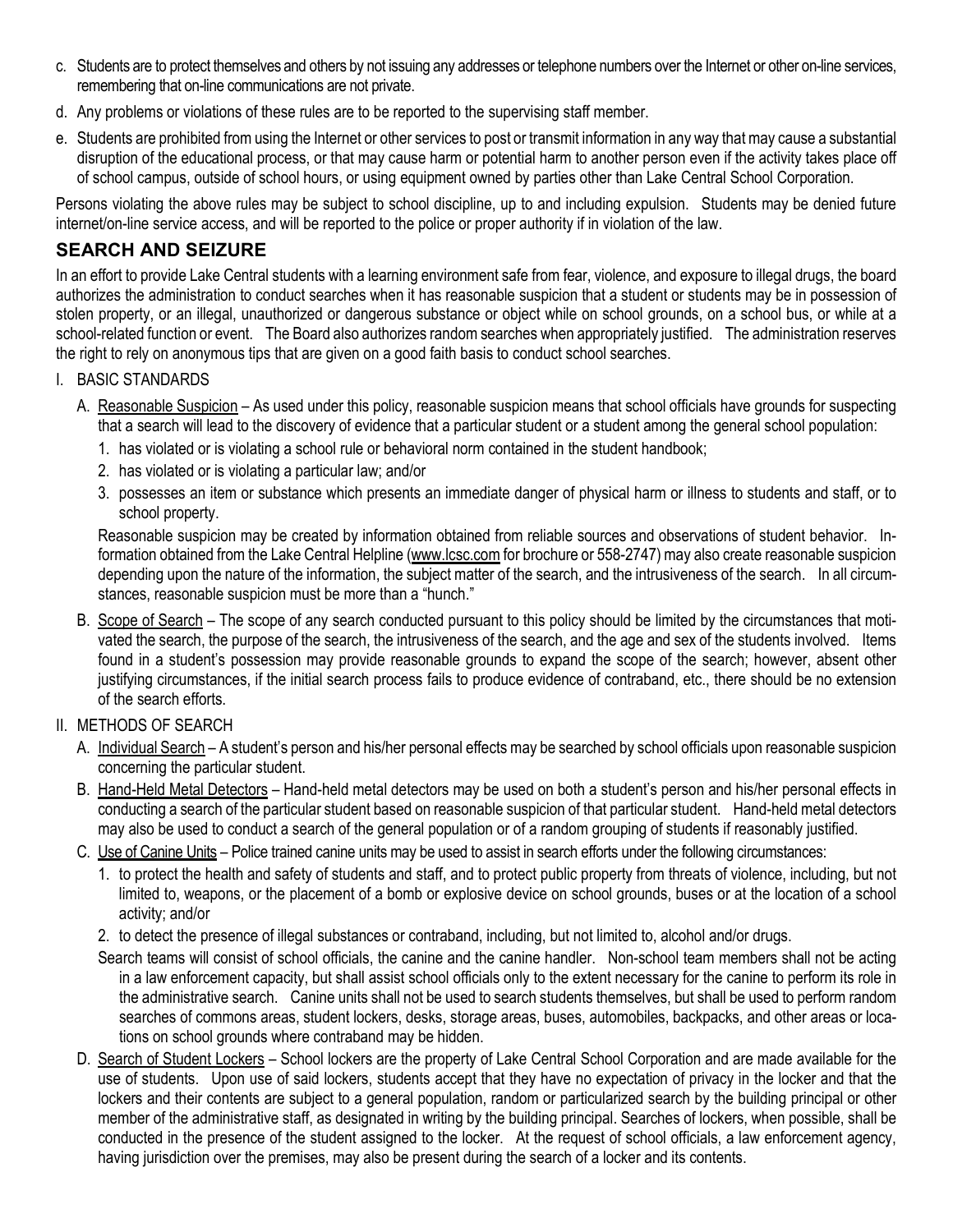- c. Students are to protect themselves and others by not issuing any addresses or telephone numbers over the Internet or other on-line services, remembering that on-line communications are not private.
- d. Any problems or violations of these rules are to be reported to the supervising staff member.
- e. Students are prohibited from using the Internet or other services to post or transmit information in any way that may cause a substantial disruption of the educational process, or that may cause harm or potential harm to another person even if the activity takes place off of school campus, outside of school hours, or using equipment owned by parties other than Lake Central School Corporation.

Persons violating the above rules may be subject to school discipline, up to and including expulsion. Students may be denied future internet/on-line service access, and will be reported to the police or proper authority if in violation of the law.

### **SEARCH AND SEIZURE**

In an effort to provide Lake Central students with a learning environment safe from fear, violence, and exposure to illegal drugs, the board authorizes the administration to conduct searches when it has reasonable suspicion that a student or students may be in possession of stolen property, or an illegal, unauthorized or dangerous substance or object while on school grounds, on a school bus, or while at a school-related function or event. The Board also authorizes random searches when appropriately justified. The administration reserves the right to rely on anonymous tips that are given on a good faith basis to conduct school searches.

#### I. BASIC STANDARDS

- A. Reasonable Suspicion As used under this policy, reasonable suspicion means that school officials have grounds for suspecting that a search will lead to the discovery of evidence that a particular student or a student among the general school population:
	- 1. has violated or is violating a school rule or behavioral norm contained in the student handbook;
	- 2. has violated or is violating a particular law; and/or
	- 3. possesses an item or substance which presents an immediate danger of physical harm or illness to students and staff, or to school property.

Reasonable suspicion may be created by information obtained from reliable sources and observations of student behavior. Information obtained from the Lake Central Helpline (www.lcsc.com for brochure or 558-2747) may also create reasonable suspicion depending upon the nature of the information, the subject matter of the search, and the intrusiveness of the search. In all circumstances, reasonable suspicion must be more than a "hunch."

B. Scope of Search – The scope of any search conducted pursuant to this policy should be limited by the circumstances that motivated the search, the purpose of the search, the intrusiveness of the search, and the age and sex of the students involved. Items found in a student's possession may provide reasonable grounds to expand the scope of the search; however, absent other justifying circumstances, if the initial search process fails to produce evidence of contraband, etc., there should be no extension of the search efforts.

#### II. METHODS OF SEARCH

- A. Individual Search A student's person and his/her personal effects may be searched by school officials upon reasonable suspicion concerning the particular student.
- B. Hand-Held Metal Detectors Hand-held metal detectors may be used on both a student's person and his/her personal effects in conducting a search of the particular student based on reasonable suspicion of that particular student. Hand-held metal detectors may also be used to conduct a search of the general population or of a random grouping of students if reasonably justified.
- C. Use of Canine Units Police trained canine units may be used to assist in search efforts under the following circumstances:
	- 1. to protect the health and safety of students and staff, and to protect public property from threats of violence, including, but not limited to, weapons, or the placement of a bomb or explosive device on school grounds, buses or at the location of a school activity; and/or
	- 2. to detect the presence of illegal substances or contraband, including, but not limited to, alcohol and/or drugs.
	- Search teams will consist of school officials, the canine and the canine handler. Non-school team members shall not be acting in a law enforcement capacity, but shall assist school officials only to the extent necessary for the canine to perform its role in the administrative search. Canine units shall not be used to search students themselves, but shall be used to perform random searches of commons areas, student lockers, desks, storage areas, buses, automobiles, backpacks, and other areas or locations on school grounds where contraband may be hidden.
- D. Search of Student Lockers School lockers are the property of Lake Central School Corporation and are made available for the use of students. Upon use of said lockers, students accept that they have no expectation of privacy in the locker and that the lockers and their contents are subject to a general population, random or particularized search by the building principal or other member of the administrative staff, as designated in writing by the building principal. Searches of lockers, when possible, shall be conducted in the presence of the student assigned to the locker. At the request of school officials, a law enforcement agency, having jurisdiction over the premises, may also be present during the search of a locker and its contents.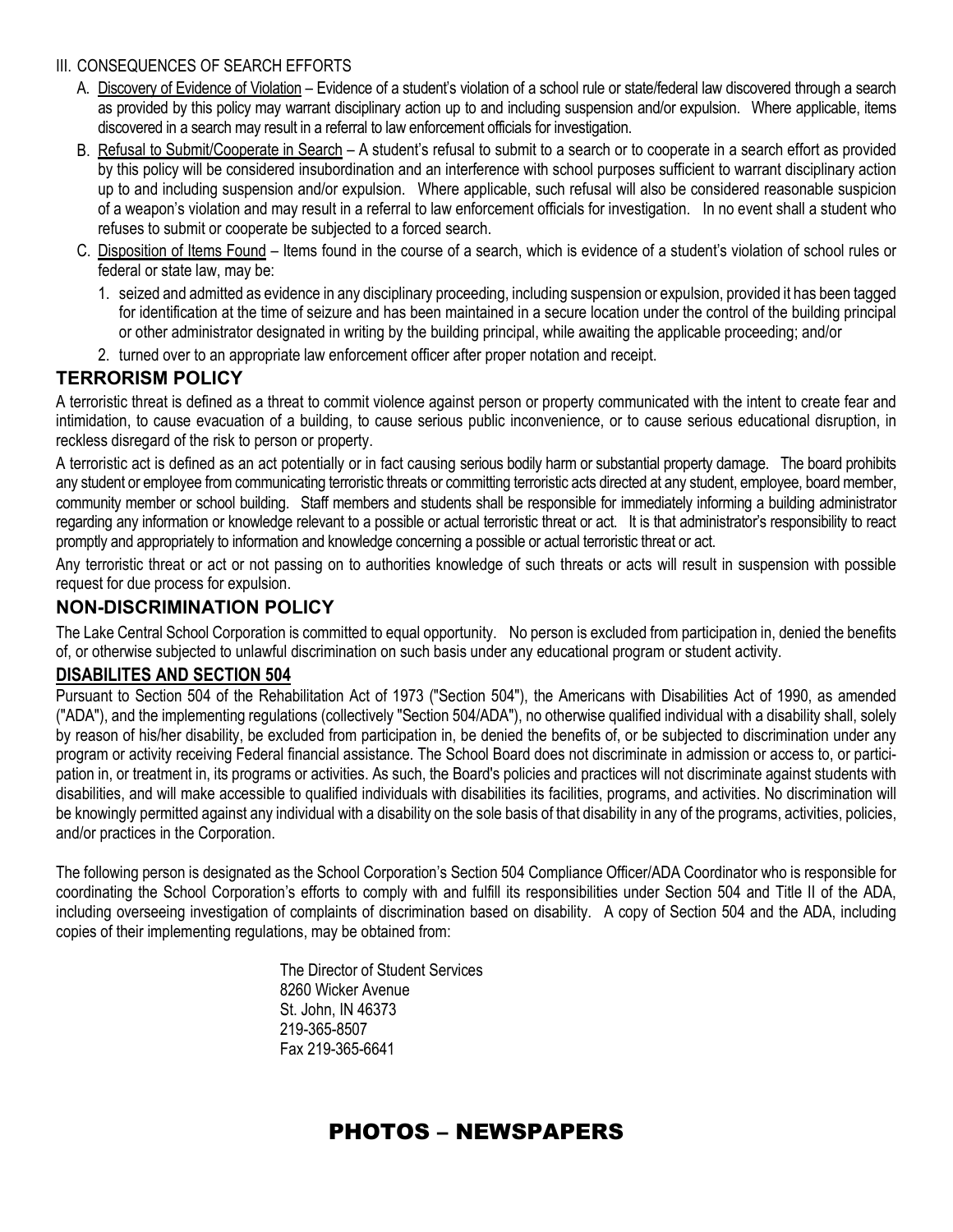#### III. CONSEQUENCES OF SEARCH EFFORTS

- A. Discovery of Evidence of Violation Evidence of a student's violation of a school rule or state/federal law discovered through a search as provided by this policy may warrant disciplinary action up to and including suspension and/or expulsion. Where applicable, items discovered in a search may result in a referral to law enforcement officials for investigation.
- B. Refusal to Submit/Cooperate in Search A student's refusal to submit to a search or to cooperate in a search effort as provided by this policy will be considered insubordination and an interference with school purposes sufficient to warrant disciplinary action up to and including suspension and/or expulsion. Where applicable, such refusal will also be considered reasonable suspicion of a weapon's violation and may result in a referral to law enforcement officials for investigation. In no event shall a student who refuses to submit or cooperate be subjected to a forced search.
- C. Disposition of Items Found Items found in the course of a search, which is evidence of a student's violation of school rules or federal or state law, may be:
	- 1. seized and admitted as evidence in any disciplinary proceeding, including suspension or expulsion, provided it has been tagged for identification at the time of seizure and has been maintained in a secure location under the control of the building principal or other administrator designated in writing by the building principal, while awaiting the applicable proceeding; and/or
	- 2. turned over to an appropriate law enforcement officer after proper notation and receipt.

## **TERRORISM POLICY**

A terroristic threat is defined as a threat to commit violence against person or property communicated with the intent to create fear and intimidation, to cause evacuation of a building, to cause serious public inconvenience, or to cause serious educational disruption, in reckless disregard of the risk to person or property.

A terroristic act is defined as an act potentially or in fact causing serious bodily harm or substantial property damage. The board prohibits any student or employee from communicating terroristic threats or committing terroristic acts directed at any student, employee, board member, community member or school building. Staff members and students shall be responsible for immediately informing a building administrator regarding any information or knowledge relevant to a possible or actual terroristic threat or act. It is that administrator's responsibility to react promptly and appropriately to information and knowledge concerning a possible or actual terroristic threat or act.

Any terroristic threat or act or not passing on to authorities knowledge of such threats or acts will result in suspension with possible request for due process for expulsion.

### **NON-DISCRIMINATION POLICY**

The Lake Central School Corporation is committed to equal opportunity. No person is excluded from participation in, denied the benefits of, or otherwise subjected to unlawful discrimination on such basis under any educational program or student activity.

## **DISABILITES AND SECTION 504**

Pursuant to Section 504 of the Rehabilitation Act of 1973 ("Section 504"), the Americans with Disabilities Act of 1990, as amended ("ADA"), and the implementing regulations (collectively "Section 504/ADA"), no otherwise qualified individual with a disability shall, solely by reason of his/her disability, be excluded from participation in, be denied the benefits of, or be subjected to discrimination under any program or activity receiving Federal financial assistance. The School Board does not discriminate in admission or access to, or participation in, or treatment in, its programs or activities. As such, the Board's policies and practices will not discriminate against students with disabilities, and will make accessible to qualified individuals with disabilities its facilities, programs, and activities. No discrimination will be knowingly permitted against any individual with a disability on the sole basis of that disability in any of the programs, activities, policies, and/or practices in the Corporation.

The following person is designated as the School Corporation's Section 504 Compliance Officer/ADA Coordinator who is responsible for coordinating the School Corporation's efforts to comply with and fulfill its responsibilities under Section 504 and Title II of the ADA, including overseeing investigation of complaints of discrimination based on disability. A copy of Section 504 and the ADA, including copies of their implementing regulations, may be obtained from:

> The Director of Student Services 8260 Wicker Avenue St. John, IN 46373 219-365-8507 Fax 219-365-6641

## PHOTOS – NEWSPAPERS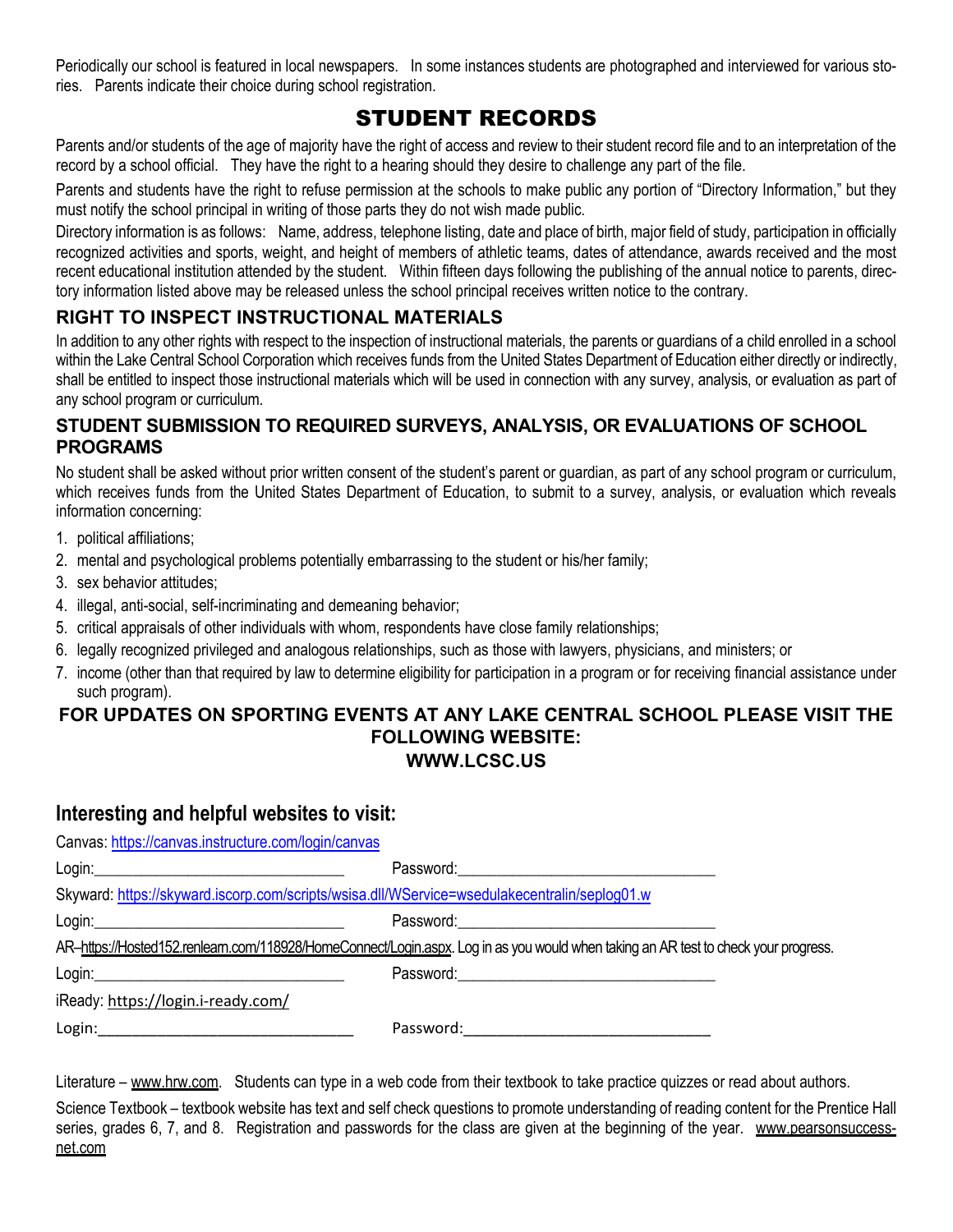Periodically our school is featured in local newspapers. In some instances students are photographed and interviewed for various stories. Parents indicate their choice during school registration.

## STUDENT RECORDS

Parents and/or students of the age of majority have the right of access and review to their student record file and to an interpretation of the record by a school official. They have the right to a hearing should they desire to challenge any part of the file.

Parents and students have the right to refuse permission at the schools to make public any portion of "Directory Information," but they must notify the school principal in writing of those parts they do not wish made public.

Directory information is as follows: Name, address, telephone listing, date and place of birth, major field of study, participation in officially recognized activities and sports, weight, and height of members of athletic teams, dates of attendance, awards received and the most recent educational institution attended by the student. Within fifteen days following the publishing of the annual notice to parents, directory information listed above may be released unless the school principal receives written notice to the contrary.

## **RIGHT TO INSPECT INSTRUCTIONAL MATERIALS**

In addition to any other rights with respect to the inspection of instructional materials, the parents or guardians of a child enrolled in a school within the Lake Central School Corporation which receives funds from the United States Department of Education either directly or indirectly, shall be entitled to inspect those instructional materials which will be used in connection with any survey, analysis, or evaluation as part of any school program or curriculum.

### **STUDENT SUBMISSION TO REQUIRED SURVEYS, ANALYSIS, OR EVALUATIONS OF SCHOOL PROGRAMS**

No student shall be asked without prior written consent of the student's parent or guardian, as part of any school program or curriculum, which receives funds from the United States Department of Education, to submit to a survey, analysis, or evaluation which reveals information concerning:

- 1. political affiliations;
- 2. mental and psychological problems potentially embarrassing to the student or his/her family;
- 3. sex behavior attitudes;
- 4. illegal, anti-social, self-incriminating and demeaning behavior;
- 5. critical appraisals of other individuals with whom, respondents have close family relationships;
- 6. legally recognized privileged and analogous relationships, such as those with lawyers, physicians, and ministers; or
- 7. income (other than that required by law to determine eligibility for participation in a program or for receiving financial assistance under such program).

#### **FOR UPDATES ON SPORTING EVENTS AT ANY LAKE CENTRAL SCHOOL PLEASE VISIT THE FOLLOWING WEBSITE: WWW.LCSC.US**

## **Interesting and helpful websites to visit:**

| Canvas: https://canvas.instructure.com/login/canvas                                          |                                                                                                                                    |
|----------------------------------------------------------------------------------------------|------------------------------------------------------------------------------------------------------------------------------------|
|                                                                                              |                                                                                                                                    |
| Skyward: https://skyward.iscorp.com/scripts/wsisa.dll/WService=wsedulakecentralin/seplog01.w |                                                                                                                                    |
|                                                                                              |                                                                                                                                    |
|                                                                                              | AR-https://Hosted152.renleam.com/118928/HomeConnect/Login.aspx. Log in as you would when taking an AR test to check your progress. |
|                                                                                              |                                                                                                                                    |
| iReady: https://login.i-ready.com/                                                           |                                                                                                                                    |
|                                                                                              |                                                                                                                                    |

Literature – www.hrw.com. Students can type in a web code from their textbook to take practice quizzes or read about authors.

Science Textbook – textbook website has text and self check questions to promote understanding of reading content for the Prentice Hall series, grades 6, 7, and 8. Registration and passwords for the class are given at the beginning of the year. www.pearsonsuccessnet.com